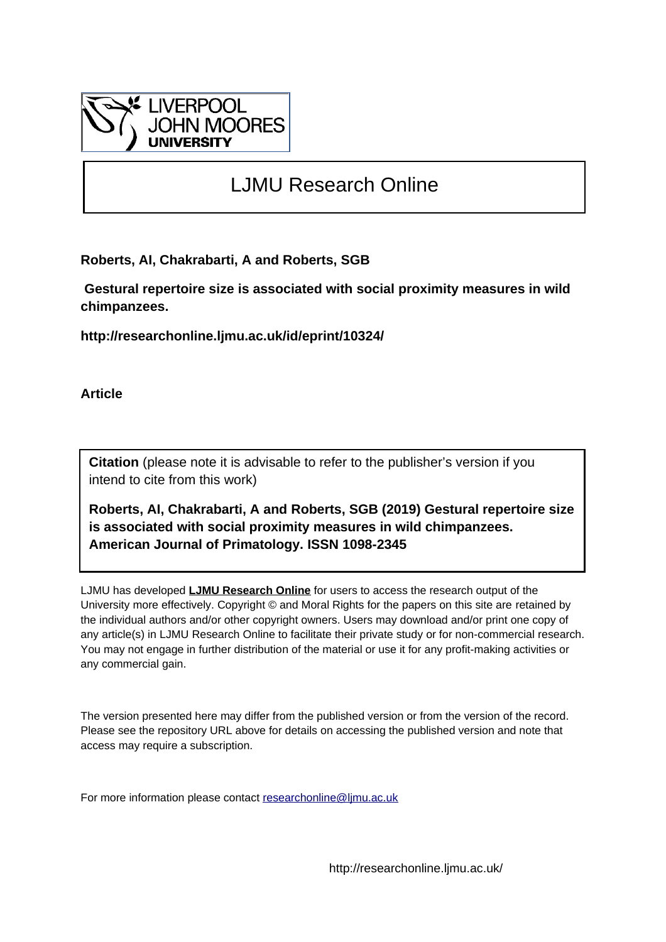

# LJMU Research Online

**Roberts, AI, Chakrabarti, A and Roberts, SGB**

 **Gestural repertoire size is associated with social proximity measures in wild chimpanzees.**

**http://researchonline.ljmu.ac.uk/id/eprint/10324/**

**Article**

**Citation** (please note it is advisable to refer to the publisher's version if you intend to cite from this work)

**Roberts, AI, Chakrabarti, A and Roberts, SGB (2019) Gestural repertoire size is associated with social proximity measures in wild chimpanzees. American Journal of Primatology. ISSN 1098-2345** 

LJMU has developed **[LJMU Research Online](http://researchonline.ljmu.ac.uk/)** for users to access the research output of the University more effectively. Copyright © and Moral Rights for the papers on this site are retained by the individual authors and/or other copyright owners. Users may download and/or print one copy of any article(s) in LJMU Research Online to facilitate their private study or for non-commercial research. You may not engage in further distribution of the material or use it for any profit-making activities or any commercial gain.

The version presented here may differ from the published version or from the version of the record. Please see the repository URL above for details on accessing the published version and note that access may require a subscription.

For more information please contact [researchonline@ljmu.ac.uk](mailto:researchonline@ljmu.ac.uk)

http://researchonline.ljmu.ac.uk/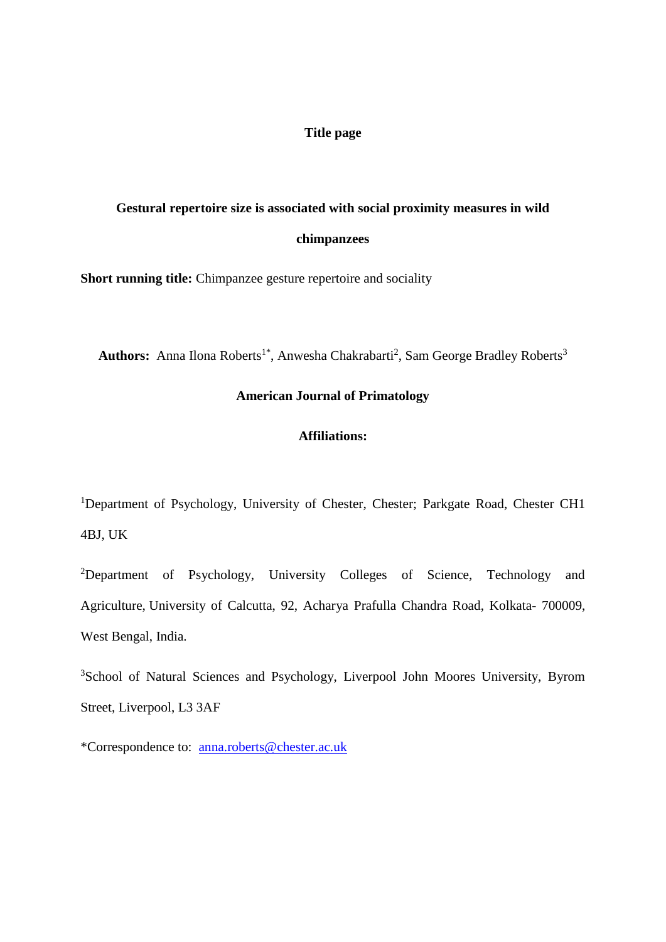## **Title page**

## **Gestural repertoire size is associated with social proximity measures in wild chimpanzees**

**Short running title:** Chimpanzee gesture repertoire and sociality

Authors: Anna Ilona Roberts<sup>1\*</sup>, Anwesha Chakrabarti<sup>2</sup>, Sam George Bradley Roberts<sup>3</sup>

## **American Journal of Primatology**

## **Affiliations:**

<sup>1</sup>Department of Psychology, University of Chester, Chester; Parkgate Road, Chester CH1 4BJ, UK

<sup>2</sup>Department of Psychology, University Colleges of Science, Technology and Agriculture, University of Calcutta, 92, Acharya Prafulla Chandra Road, Kolkata- 700009, West Bengal, India.

<sup>3</sup>School of Natural Sciences and Psychology, Liverpool John Moores University, Byrom Street, Liverpool, L3 3AF

\*Correspondence to: anna.roberts@chester.ac.uk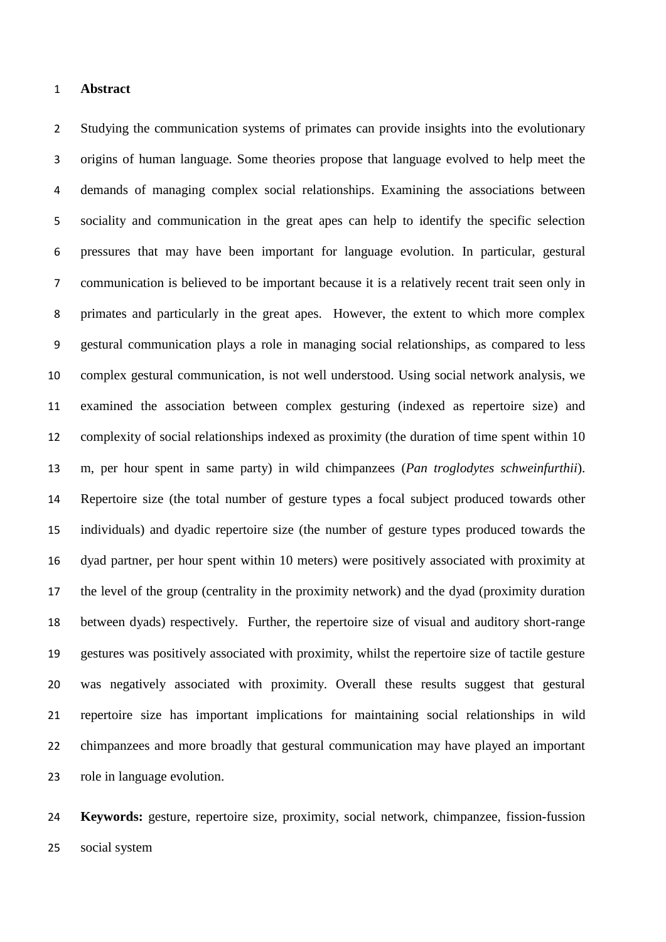#### **Abstract**

 Studying the communication systems of primates can provide insights into the evolutionary origins of human language. Some theories propose that language evolved to help meet the demands of managing complex social relationships. Examining the associations between sociality and communication in the great apes can help to identify the specific selection pressures that may have been important for language evolution. In particular, gestural communication is believed to be important because it is a relatively recent trait seen only in primates and particularly in the great apes. However, the extent to which more complex gestural communication plays a role in managing social relationships, as compared to less complex gestural communication, is not well understood. Using social network analysis, we examined the association between complex gesturing (indexed as repertoire size) and complexity of social relationships indexed as proximity (the duration of time spent within 10 m, per hour spent in same party) in wild chimpanzees (*Pan troglodytes schweinfurthii*). Repertoire size (the total number of gesture types a focal subject produced towards other individuals) and dyadic repertoire size (the number of gesture types produced towards the dyad partner, per hour spent within 10 meters) were positively associated with proximity at the level of the group (centrality in the proximity network) and the dyad (proximity duration between dyads) respectively. Further, the repertoire size of visual and auditory short-range gestures was positively associated with proximity, whilst the repertoire size of tactile gesture was negatively associated with proximity. Overall these results suggest that gestural repertoire size has important implications for maintaining social relationships in wild chimpanzees and more broadly that gestural communication may have played an important role in language evolution.

 **Keywords:** gesture, repertoire size, proximity, social network, chimpanzee, fission-fussion social system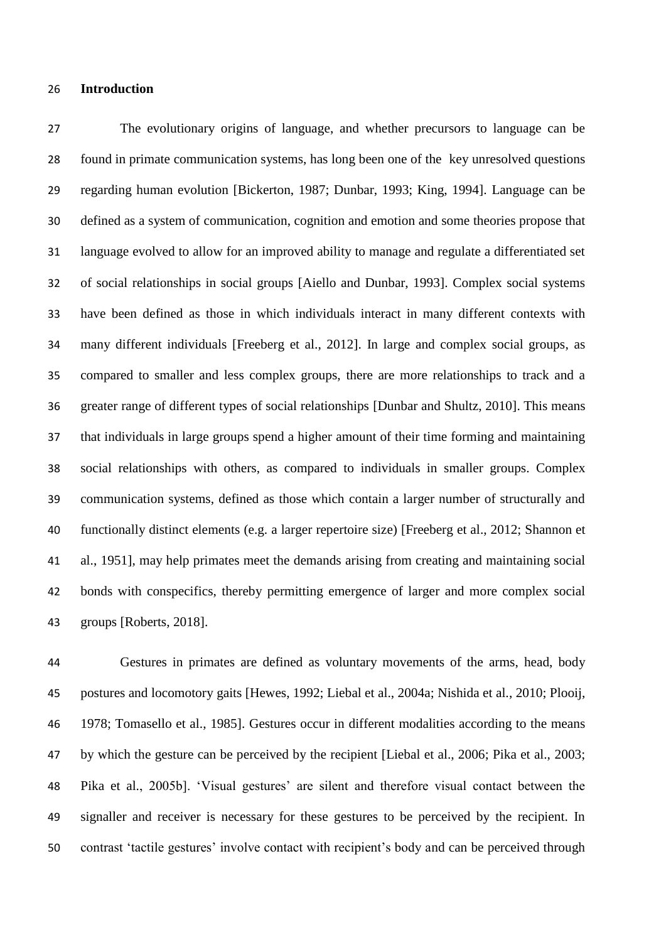#### **Introduction**

 The evolutionary origins of language, and whether precursors to language can be found in primate communication systems, has long been one of the key unresolved questions regarding human evolution [Bickerton, 1987; Dunbar, 1993; King, 1994]. Language can be defined as a system of communication, cognition and emotion and some theories propose that language evolved to allow for an improved ability to manage and regulate a differentiated set of social relationships in social groups [Aiello and Dunbar, 1993]. Complex social systems have been defined as those in which individuals interact in many different contexts with many different individuals [Freeberg et al., 2012]. In large and complex social groups, as compared to smaller and less complex groups, there are more relationships to track and a greater range of different types of social relationships [Dunbar and Shultz, 2010]. This means that individuals in large groups spend a higher amount of their time forming and maintaining social relationships with others, as compared to individuals in smaller groups. Complex communication systems, defined as those which contain a larger number of structurally and functionally distinct elements (e.g. a larger repertoire size) [Freeberg et al., 2012; Shannon et al., 1951], may help primates meet the demands arising from creating and maintaining social bonds with conspecifics, thereby permitting emergence of larger and more complex social groups [Roberts, 2018].

 Gestures in primates are defined as voluntary movements of the arms, head, body postures and locomotory gaits [Hewes, 1992; Liebal et al., 2004a; Nishida et al., 2010; Plooij, 1978; Tomasello et al., 1985]. Gestures occur in different modalities according to the means by which the gesture can be perceived by the recipient [Liebal et al., 2006; Pika et al., 2003; Pika et al., 2005b]. 'Visual gestures' are silent and therefore visual contact between the signaller and receiver is necessary for these gestures to be perceived by the recipient. In contrast 'tactile gestures' involve contact with recipient's body and can be perceived through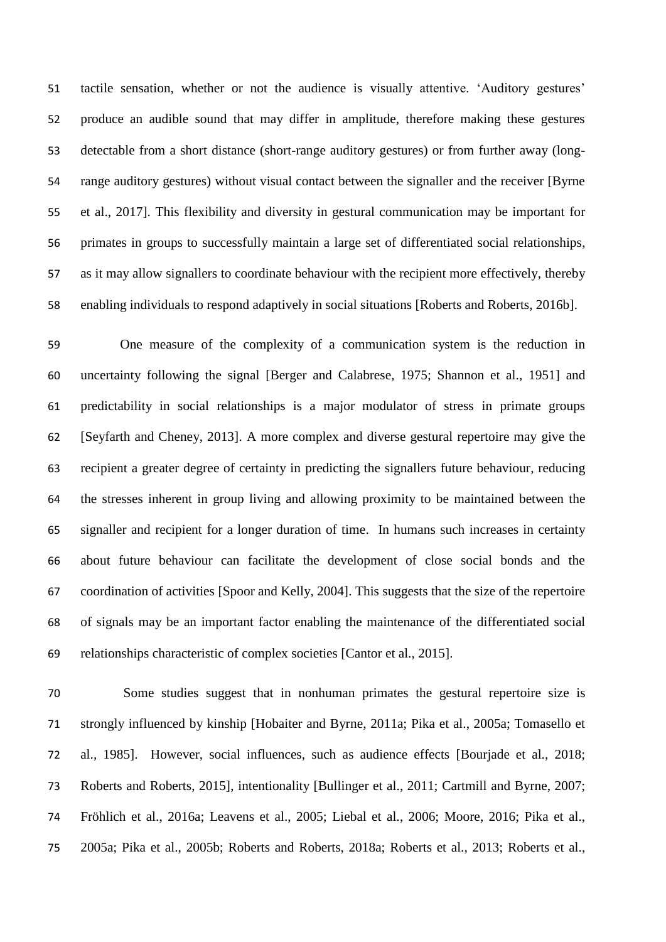tactile sensation, whether or not the audience is visually attentive. 'Auditory gestures' produce an audible sound that may differ in amplitude, therefore making these gestures detectable from a short distance (short-range auditory gestures) or from further away (long- range auditory gestures) without visual contact between the signaller and the receiver [Byrne et al., 2017]. This flexibility and diversity in gestural communication may be important for primates in groups to successfully maintain a large set of differentiated social relationships, as it may allow signallers to coordinate behaviour with the recipient more effectively, thereby enabling individuals to respond adaptively in social situations [Roberts and Roberts, 2016b].

 One measure of the complexity of a communication system is the reduction in uncertainty following the signal [Berger and Calabrese, 1975; Shannon et al., 1951] and predictability in social relationships is a major modulator of stress in primate groups [Seyfarth and Cheney, 2013]. A more complex and diverse gestural repertoire may give the recipient a greater degree of certainty in predicting the signallers future behaviour, reducing the stresses inherent in group living and allowing proximity to be maintained between the signaller and recipient for a longer duration of time. In humans such increases in certainty about future behaviour can facilitate the development of close social bonds and the coordination of activities [Spoor and Kelly, 2004]. This suggests that the size of the repertoire of signals may be an important factor enabling the maintenance of the differentiated social relationships characteristic of complex societies [Cantor et al., 2015].

 Some studies suggest that in nonhuman primates the gestural repertoire size is strongly influenced by kinship [Hobaiter and Byrne, 2011a; Pika et al., 2005a; Tomasello et al., 1985]. However, social influences, such as audience effects [Bourjade et al., 2018; Roberts and Roberts, 2015], intentionality [Bullinger et al., 2011; Cartmill and Byrne, 2007; Fröhlich et al., 2016a; Leavens et al., 2005; Liebal et al., 2006; Moore, 2016; Pika et al., 2005a; Pika et al., 2005b; Roberts and Roberts, 2018a; Roberts et al., 2013; Roberts et al.,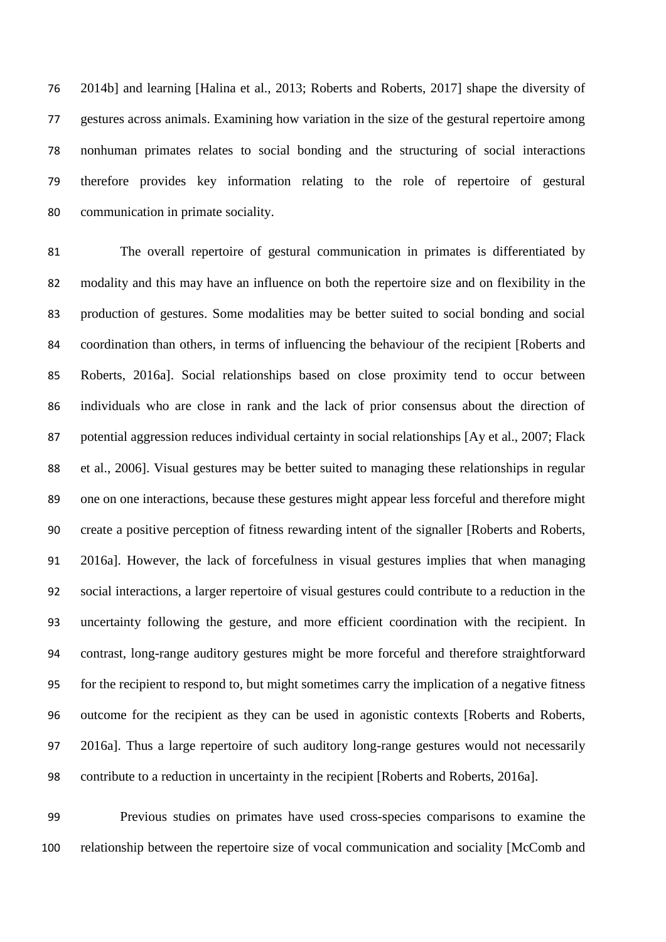2014b] and learning [Halina et al., 2013; Roberts and Roberts, 2017] shape the diversity of gestures across animals. Examining how variation in the size of the gestural repertoire among nonhuman primates relates to social bonding and the structuring of social interactions therefore provides key information relating to the role of repertoire of gestural communication in primate sociality.

 The overall repertoire of gestural communication in primates is differentiated by modality and this may have an influence on both the repertoire size and on flexibility in the production of gestures. Some modalities may be better suited to social bonding and social coordination than others, in terms of influencing the behaviour of the recipient [Roberts and Roberts, 2016a]. Social relationships based on close proximity tend to occur between individuals who are close in rank and the lack of prior consensus about the direction of 87 potential aggression reduces individual certainty in social relationships [Ay et al., 2007; Flack et al., 2006]. Visual gestures may be better suited to managing these relationships in regular one on one interactions, because these gestures might appear less forceful and therefore might create a positive perception of fitness rewarding intent of the signaller [Roberts and Roberts, 2016a]. However, the lack of forcefulness in visual gestures implies that when managing social interactions, a larger repertoire of visual gestures could contribute to a reduction in the uncertainty following the gesture, and more efficient coordination with the recipient. In contrast, long-range auditory gestures might be more forceful and therefore straightforward for the recipient to respond to, but might sometimes carry the implication of a negative fitness outcome for the recipient as they can be used in agonistic contexts [Roberts and Roberts, 2016a]. Thus a large repertoire of such auditory long-range gestures would not necessarily contribute to a reduction in uncertainty in the recipient [Roberts and Roberts, 2016a].

 Previous studies on primates have used cross-species comparisons to examine the relationship between the repertoire size of vocal communication and sociality [McComb and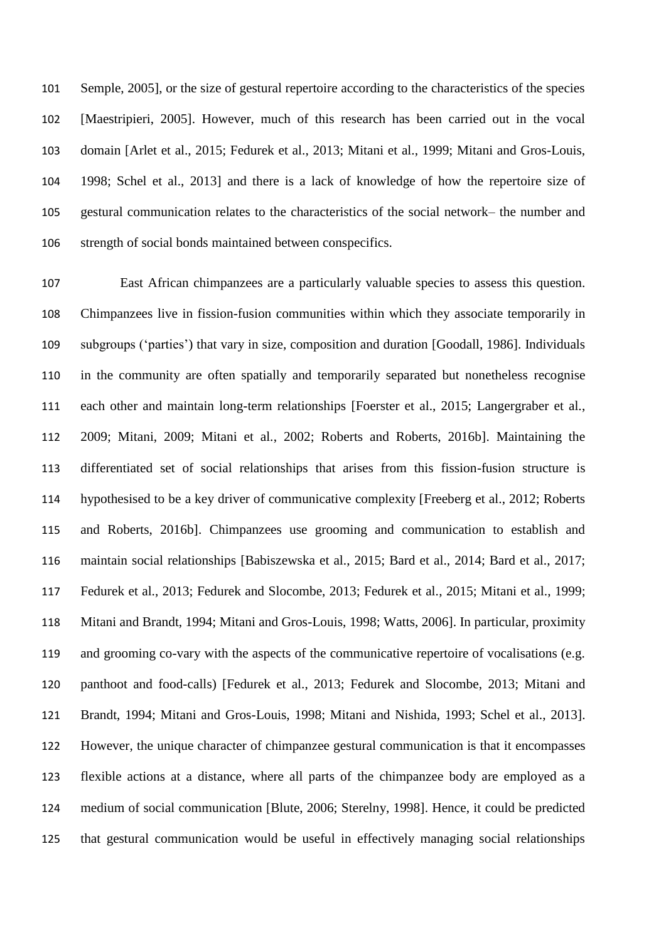Semple, 2005], or the size of gestural repertoire according to the characteristics of the species [Maestripieri, 2005]. However, much of this research has been carried out in the vocal domain [Arlet et al., 2015; Fedurek et al., 2013; Mitani et al., 1999; Mitani and Gros-Louis, 1998; Schel et al., 2013] and there is a lack of knowledge of how the repertoire size of gestural communication relates to the characteristics of the social network– the number and strength of social bonds maintained between conspecifics.

 East African chimpanzees are a particularly valuable species to assess this question. Chimpanzees live in fission-fusion communities within which they associate temporarily in subgroups ('parties') that vary in size, composition and duration [Goodall, 1986]. Individuals in the community are often spatially and temporarily separated but nonetheless recognise each other and maintain long-term relationships [Foerster et al., 2015; Langergraber et al., 2009; Mitani, 2009; Mitani et al., 2002; Roberts and Roberts, 2016b]. Maintaining the differentiated set of social relationships that arises from this fission-fusion structure is hypothesised to be a key driver of communicative complexity [Freeberg et al., 2012; Roberts and Roberts, 2016b]. Chimpanzees use grooming and communication to establish and maintain social relationships [Babiszewska et al., 2015; Bard et al., 2014; Bard et al., 2017; Fedurek et al., 2013; Fedurek and Slocombe, 2013; Fedurek et al., 2015; Mitani et al., 1999; Mitani and Brandt, 1994; Mitani and Gros-Louis, 1998; Watts, 2006]. In particular, proximity and grooming co-vary with the aspects of the communicative repertoire of vocalisations (e.g. panthoot and food-calls) [Fedurek et al., 2013; Fedurek and Slocombe, 2013; Mitani and Brandt, 1994; Mitani and Gros-Louis, 1998; Mitani and Nishida, 1993; Schel et al., 2013]. However, the unique character of chimpanzee gestural communication is that it encompasses flexible actions at a distance, where all parts of the chimpanzee body are employed as a medium of social communication [Blute, 2006; Sterelny, 1998]. Hence, it could be predicted that gestural communication would be useful in effectively managing social relationships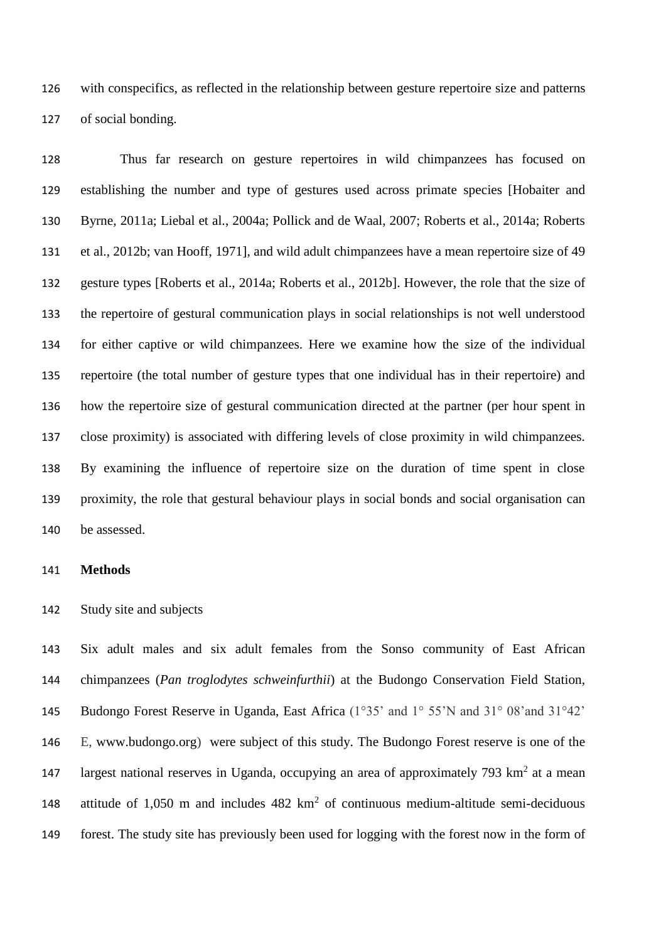with conspecifics, as reflected in the relationship between gesture repertoire size and patterns of social bonding.

 Thus far research on gesture repertoires in wild chimpanzees has focused on establishing the number and type of gestures used across primate species [Hobaiter and Byrne, 2011a; Liebal et al., 2004a; Pollick and de Waal, 2007; Roberts et al., 2014a; Roberts et al., 2012b; van Hooff, 1971], and wild adult chimpanzees have a mean repertoire size of 49 gesture types [Roberts et al., 2014a; Roberts et al., 2012b]. However, the role that the size of the repertoire of gestural communication plays in social relationships is not well understood for either captive or wild chimpanzees. Here we examine how the size of the individual repertoire (the total number of gesture types that one individual has in their repertoire) and how the repertoire size of gestural communication directed at the partner (per hour spent in close proximity) is associated with differing levels of close proximity in wild chimpanzees. By examining the influence of repertoire size on the duration of time spent in close proximity, the role that gestural behaviour plays in social bonds and social organisation can be assessed.

## **Methods**

Study site and subjects

 Six adult males and six adult females from the Sonso community of East African chimpanzees (*Pan troglodytes schweinfurthii*) at the Budongo Conservation Field Station, Budongo Forest Reserve in Uganda, East Africa (1°35' and 1° 55'N and 31° 08'and 31°42' E, [www.budongo.org\)](http://www.budongo.org/) were subject of this study. The Budongo Forest reserve is one of the 147 largest national reserves in Uganda, occupying an area of approximately 793  $km<sup>2</sup>$  at a mean 148 attitude of 1,050 m and includes  $482 \text{ km}^2$  of continuous medium-altitude semi-deciduous forest. The study site has previously been used for logging with the forest now in the form of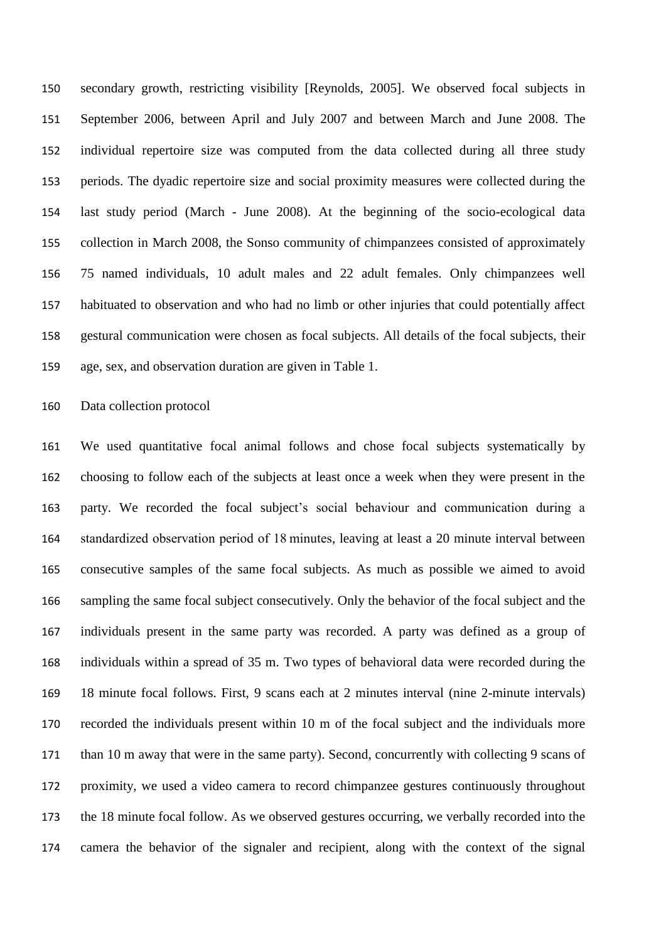secondary growth, restricting visibility [Reynolds, 2005]. We observed focal subjects in September 2006, between April and July 2007 and between March and June 2008. The individual repertoire size was computed from the data collected during all three study periods. The dyadic repertoire size and social proximity measures were collected during the last study period (March - June 2008). At the beginning of the socio-ecological data collection in March 2008, the Sonso community of chimpanzees consisted of approximately 75 named individuals, 10 adult males and 22 adult females. Only chimpanzees well habituated to observation and who had no limb or other injuries that could potentially affect gestural communication were chosen as focal subjects. All details of the focal subjects, their age, sex, and observation duration are given in Table 1.

Data collection protocol

 We used quantitative focal animal follows and chose focal subjects systematically by choosing to follow each of the subjects at least once a week when they were present in the party. We recorded the focal subject's social behaviour and communication during a standardized observation period of 18 minutes, leaving at least a 20 minute interval between consecutive samples of the same focal subjects. As much as possible we aimed to avoid sampling the same focal subject consecutively. Only the behavior of the focal subject and the individuals present in the same party was recorded. A party was defined as a group of individuals within a spread of 35 m. Two types of behavioral data were recorded during the 18 minute focal follows. First, 9 scans each at 2 minutes interval (nine 2-minute intervals) recorded the individuals present within 10 m of the focal subject and the individuals more than 10 m away that were in the same party). Second, concurrently with collecting 9 scans of proximity, we used a video camera to record chimpanzee gestures continuously throughout the 18 minute focal follow. As we observed gestures occurring, we verbally recorded into the camera the behavior of the signaler and recipient, along with the context of the signal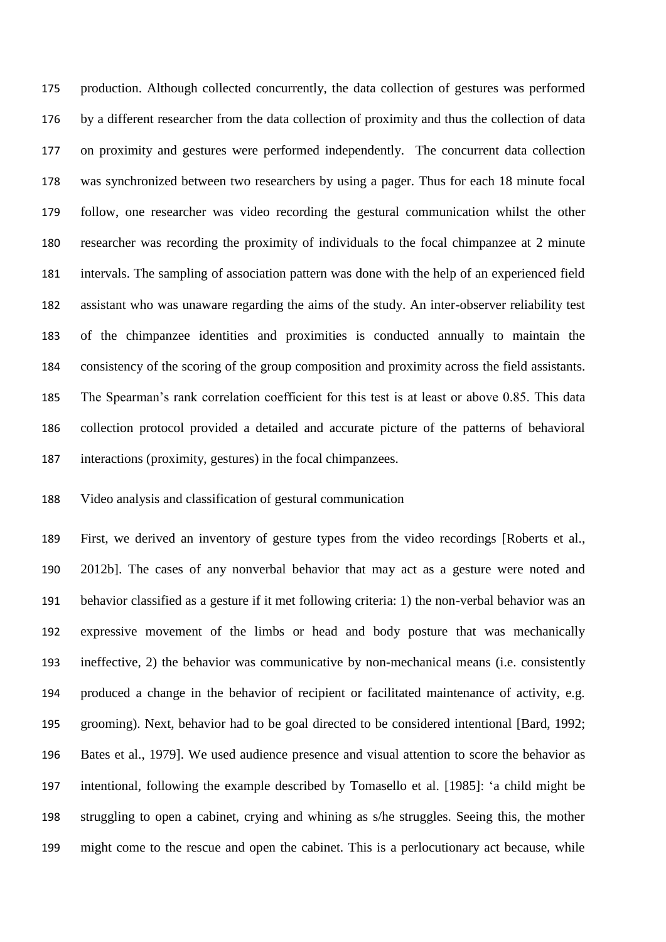production. Although collected concurrently, the data collection of gestures was performed by a different researcher from the data collection of proximity and thus the collection of data on proximity and gestures were performed independently. The concurrent data collection was synchronized between two researchers by using a pager. Thus for each 18 minute focal follow, one researcher was video recording the gestural communication whilst the other researcher was recording the proximity of individuals to the focal chimpanzee at 2 minute intervals. The sampling of association pattern was done with the help of an experienced field assistant who was unaware regarding the aims of the study. An inter-observer reliability test of the chimpanzee identities and proximities is conducted annually to maintain the consistency of the scoring of the group composition and proximity across the field assistants. The Spearman's rank correlation coefficient for this test is at least or above 0.85. This data collection protocol provided a detailed and accurate picture of the patterns of behavioral interactions (proximity, gestures) in the focal chimpanzees.

## Video analysis and classification of gestural communication

 First, we derived an inventory of gesture types from the video recordings [Roberts et al., 2012b]. The cases of any nonverbal behavior that may act as a gesture were noted and behavior classified as a gesture if it met following criteria: 1) the non-verbal behavior was an expressive movement of the limbs or head and body posture that was mechanically ineffective, 2) the behavior was communicative by non-mechanical means (i.e. consistently produced a change in the behavior of recipient or facilitated maintenance of activity, e.g. grooming). Next, behavior had to be goal directed to be considered intentional [Bard, 1992; Bates et al., 1979]. We used audience presence and visual attention to score the behavior as intentional, following the example described by Tomasello et al. [1985]: 'a child might be struggling to open a cabinet, crying and whining as s/he struggles. Seeing this, the mother might come to the rescue and open the cabinet. This is a perlocutionary act because, while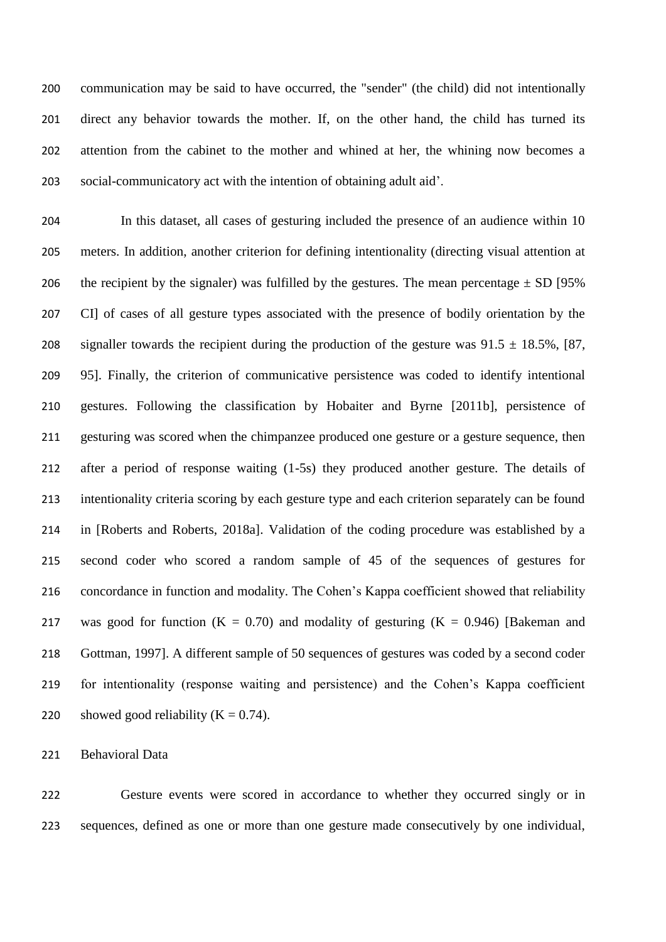communication may be said to have occurred, the "sender" (the child) did not intentionally direct any behavior towards the mother. If, on the other hand, the child has turned its attention from the cabinet to the mother and whined at her, the whining now becomes a social-communicatory act with the intention of obtaining adult aid'.

 In this dataset, all cases of gesturing included the presence of an audience within 10 meters. In addition, another criterion for defining intentionality (directing visual attention at 206 the recipient by the signaler) was fulfilled by the gestures. The mean percentage  $\pm$  SD [95% CI] of cases of all gesture types associated with the presence of bodily orientation by the 208 signaller towards the recipient during the production of the gesture was  $91.5 \pm 18.5\%$ , [87, 95]. Finally, the criterion of communicative persistence was coded to identify intentional gestures. Following the classification by Hobaiter and Byrne [2011b], persistence of gesturing was scored when the chimpanzee produced one gesture or a gesture sequence, then after a period of response waiting (1-5s) they produced another gesture. The details of intentionality criteria scoring by each gesture type and each criterion separately can be found in [Roberts and Roberts, 2018a]. Validation of the coding procedure was established by a second coder who scored a random sample of 45 of the sequences of gestures for concordance in function and modality. The Cohen's Kappa coefficient showed that reliability 217 was good for function  $(K = 0.70)$  and modality of gesturing  $(K = 0.946)$  [Bakeman and Gottman, 1997]. A different sample of 50 sequences of gestures was coded by a second coder for intentionality (response waiting and persistence) and the Cohen's Kappa coefficient 220 showed good reliability  $(K = 0.74)$ .

Behavioral Data

 Gesture events were scored in accordance to whether they occurred singly or in sequences, defined as one or more than one gesture made consecutively by one individual,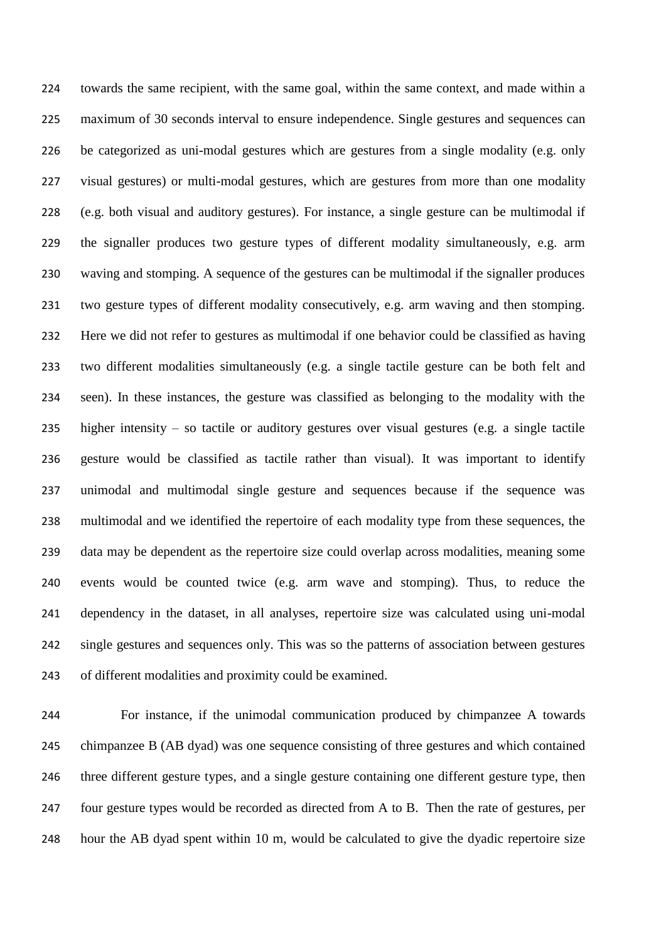towards the same recipient, with the same goal, within the same context, and made within a maximum of 30 seconds interval to ensure independence. Single gestures and sequences can be categorized as uni-modal gestures which are gestures from a single modality (e.g. only visual gestures) or multi-modal gestures, which are gestures from more than one modality (e.g. both visual and auditory gestures). For instance, a single gesture can be multimodal if the signaller produces two gesture types of different modality simultaneously, e.g. arm waving and stomping. A sequence of the gestures can be multimodal if the signaller produces two gesture types of different modality consecutively, e.g. arm waving and then stomping. Here we did not refer to gestures as multimodal if one behavior could be classified as having two different modalities simultaneously (e.g. a single tactile gesture can be both felt and seen). In these instances, the gesture was classified as belonging to the modality with the higher intensity – so tactile or auditory gestures over visual gestures (e.g. a single tactile gesture would be classified as tactile rather than visual). It was important to identify unimodal and multimodal single gesture and sequences because if the sequence was multimodal and we identified the repertoire of each modality type from these sequences, the data may be dependent as the repertoire size could overlap across modalities, meaning some events would be counted twice (e.g. arm wave and stomping). Thus, to reduce the dependency in the dataset, in all analyses, repertoire size was calculated using uni-modal single gestures and sequences only. This was so the patterns of association between gestures of different modalities and proximity could be examined.

 For instance, if the unimodal communication produced by chimpanzee A towards chimpanzee B (AB dyad) was one sequence consisting of three gestures and which contained three different gesture types, and a single gesture containing one different gesture type, then four gesture types would be recorded as directed from A to B. Then the rate of gestures, per hour the AB dyad spent within 10 m, would be calculated to give the dyadic repertoire size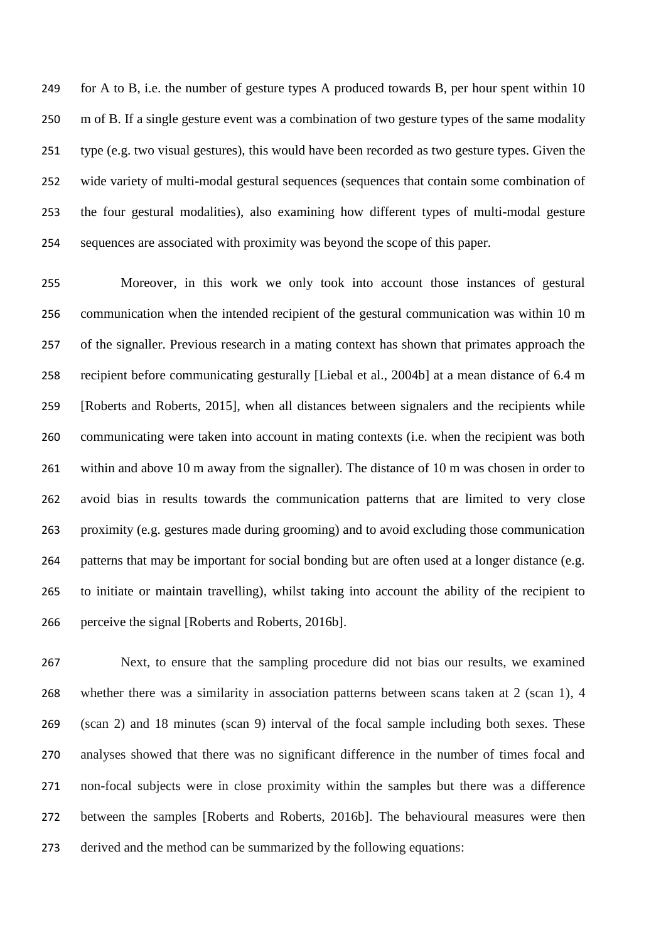for A to B, i.e. the number of gesture types A produced towards B, per hour spent within 10 m of B. If a single gesture event was a combination of two gesture types of the same modality type (e.g. two visual gestures), this would have been recorded as two gesture types. Given the wide variety of multi-modal gestural sequences (sequences that contain some combination of the four gestural modalities), also examining how different types of multi-modal gesture sequences are associated with proximity was beyond the scope of this paper.

 Moreover, in this work we only took into account those instances of gestural communication when the intended recipient of the gestural communication was within 10 m of the signaller. Previous research in a mating context has shown that primates approach the recipient before communicating gesturally [Liebal et al., 2004b] at a mean distance of 6.4 m [Roberts and Roberts, 2015], when all distances between signalers and the recipients while communicating were taken into account in mating contexts (i.e. when the recipient was both within and above 10 m away from the signaller). The distance of 10 m was chosen in order to avoid bias in results towards the communication patterns that are limited to very close proximity (e.g. gestures made during grooming) and to avoid excluding those communication patterns that may be important for social bonding but are often used at a longer distance (e.g. to initiate or maintain travelling), whilst taking into account the ability of the recipient to perceive the signal [Roberts and Roberts, 2016b].

 Next, to ensure that the sampling procedure did not bias our results, we examined whether there was a similarity in association patterns between scans taken at 2 (scan 1), 4 (scan 2) and 18 minutes (scan 9) interval of the focal sample including both sexes. These analyses showed that there was no significant difference in the number of times focal and non-focal subjects were in close proximity within the samples but there was a difference between the samples [Roberts and Roberts, 2016b]. The behavioural measures were then derived and the method can be summarized by the following equations: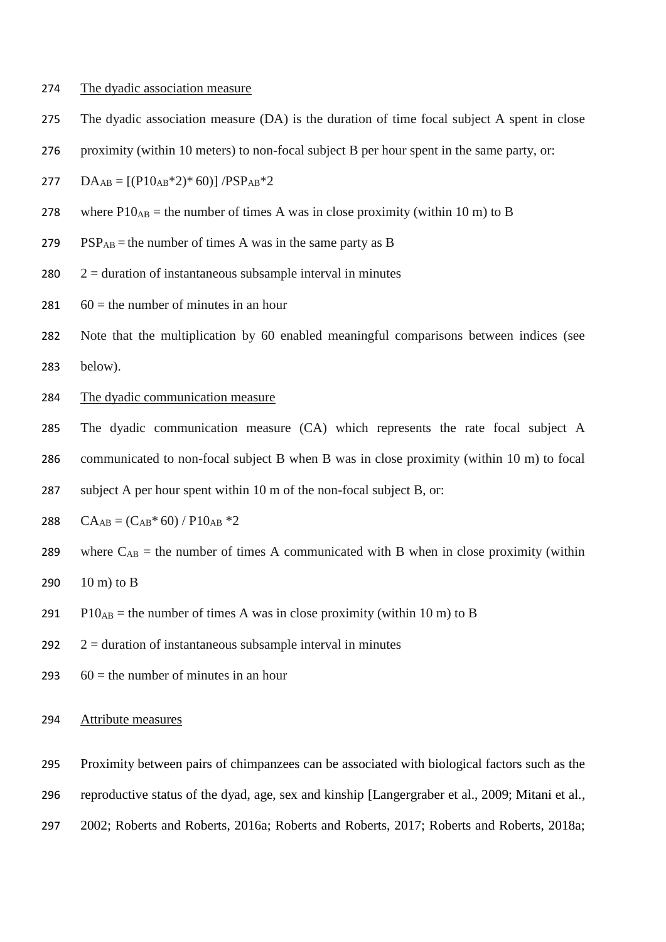#### 274 The dyadic association measure

- 275 The dyadic association measure (DA) is the duration of time focal subject A spent in close
- 276 proximity (within 10 meters) to non-focal subject B per hour spent in the same party, or:

277  $\text{DA}_{\text{AB}} = \left[ (\text{P10}_{\text{AB}} \cdot 2) \cdot 60 \right] / \text{PSP}_{\text{AB}} \cdot 2$ 

- 278 where  $P10_{AB}$  = the number of times A was in close proximity (within 10 m) to B
- 279 PSP<sub>AB</sub> = the number of times A was in the same party as B
- 280  $2 =$  duration of instantaneous subsample interval in minutes
- 281  $60 =$  the number of minutes in an hour
- 282 Note that the multiplication by 60 enabled meaningful comparisons between indices (see 283 below).
- 284 The dyadic communication measure
- 285 The dyadic communication measure (CA) which represents the rate focal subject A
- 286 communicated to non-focal subject B when B was in close proximity (within 10 m) to focal
- 287 subject A per hour spent within 10 m of the non-focal subject B, or:
- 288  $CA_{AB} = (C_{AB} * 60) / P10_{AB} * 2$
- 289 where  $C_{AB}$  = the number of times A communicated with B when in close proximity (within
- 290  $10 \text{ m}$ ) to B
- 291 P10<sub>AB</sub> = the number of times A was in close proximity (within 10 m) to B
- 292  $2 =$  duration of instantaneous subsample interval in minutes
- 293  $60 =$  the number of minutes in an hour

294 Attribute measures

- 295 Proximity between pairs of chimpanzees can be associated with biological factors such as the
- 296 reproductive status of the dyad, age, sex and kinship [Langergraber et al., 2009; Mitani et al.,
- 297 2002; Roberts and Roberts, 2016a; Roberts and Roberts, 2017; Roberts and Roberts, 2018a;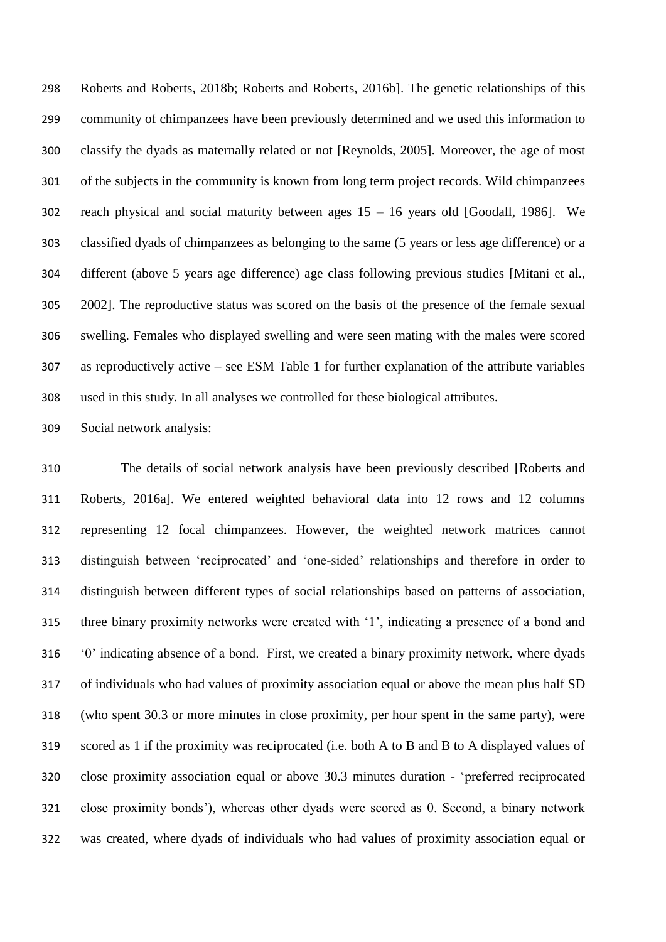Roberts and Roberts, 2018b; Roberts and Roberts, 2016b]. The genetic relationships of this community of chimpanzees have been previously determined and we used this information to classify the dyads as maternally related or not [Reynolds, 2005]. Moreover, the age of most of the subjects in the community is known from long term project records. Wild chimpanzees 302 reach physical and social maturity between ages  $15 - 16$  years old [Goodall, 1986]. We classified dyads of chimpanzees as belonging to the same (5 years or less age difference) or a different (above 5 years age difference) age class following previous studies [Mitani et al., 2002]. The reproductive status was scored on the basis of the presence of the female sexual swelling. Females who displayed swelling and were seen mating with the males were scored as reproductively active – see ESM Table 1 for further explanation of the attribute variables used in this study. In all analyses we controlled for these biological attributes.

Social network analysis:

 The details of social network analysis have been previously described [Roberts and Roberts, 2016a]. We entered weighted behavioral data into 12 rows and 12 columns representing 12 focal chimpanzees. However, the weighted network matrices cannot distinguish between 'reciprocated' and 'one-sided' relationships and therefore in order to distinguish between different types of social relationships based on patterns of association, three binary proximity networks were created with '1', indicating a presence of a bond and '0' indicating absence of a bond. First, we created a binary proximity network, where dyads of individuals who had values of proximity association equal or above the mean plus half SD (who spent 30.3 or more minutes in close proximity, per hour spent in the same party), were scored as 1 if the proximity was reciprocated (i.e. both A to B and B to A displayed values of close proximity association equal or above 30.3 minutes duration - 'preferred reciprocated close proximity bonds'), whereas other dyads were scored as 0. Second, a binary network was created, where dyads of individuals who had values of proximity association equal or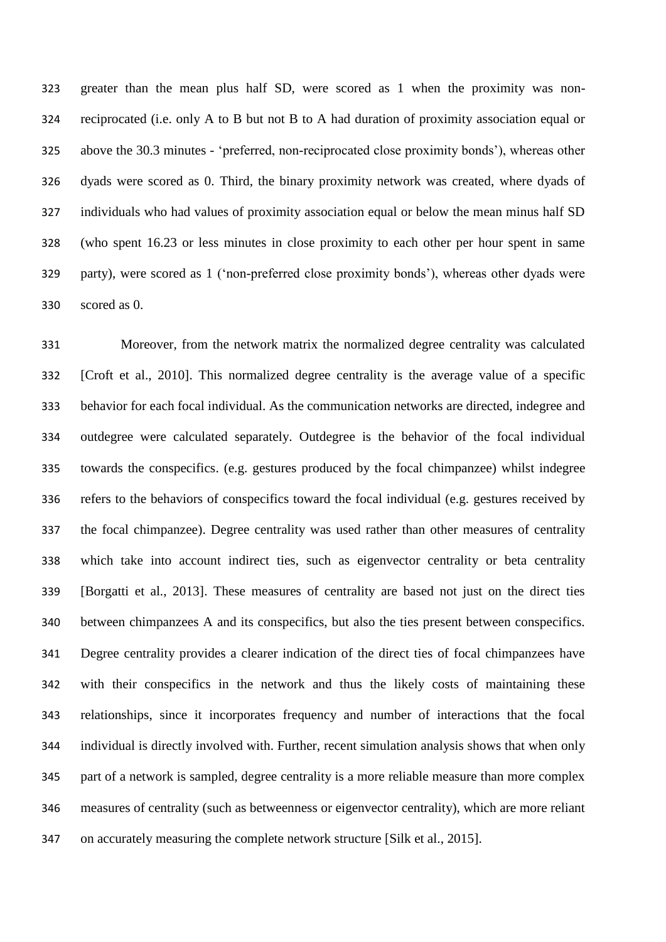greater than the mean plus half SD, were scored as 1 when the proximity was non- reciprocated (i.e. only A to B but not B to A had duration of proximity association equal or above the 30.3 minutes - 'preferred, non-reciprocated close proximity bonds'), whereas other dyads were scored as 0. Third, the binary proximity network was created, where dyads of individuals who had values of proximity association equal or below the mean minus half SD (who spent 16.23 or less minutes in close proximity to each other per hour spent in same party), were scored as 1 ('non-preferred close proximity bonds'), whereas other dyads were scored as 0.

 Moreover, from the network matrix the normalized degree centrality was calculated [Croft et al., 2010]. This normalized degree centrality is the average value of a specific behavior for each focal individual. As the communication networks are directed, indegree and outdegree were calculated separately. Outdegree is the behavior of the focal individual towards the conspecifics. (e.g. gestures produced by the focal chimpanzee) whilst indegree refers to the behaviors of conspecifics toward the focal individual (e.g. gestures received by the focal chimpanzee). Degree centrality was used rather than other measures of centrality which take into account indirect ties, such as eigenvector centrality or beta centrality [Borgatti et al., 2013]. These measures of centrality are based not just on the direct ties between chimpanzees A and its conspecifics, but also the ties present between conspecifics. Degree centrality provides a clearer indication of the direct ties of focal chimpanzees have with their conspecifics in the network and thus the likely costs of maintaining these relationships, since it incorporates frequency and number of interactions that the focal individual is directly involved with. Further, recent simulation analysis shows that when only part of a network is sampled, degree centrality is a more reliable measure than more complex measures of centrality (such as betweenness or eigenvector centrality), which are more reliant on accurately measuring the complete network structure [Silk et al., 2015].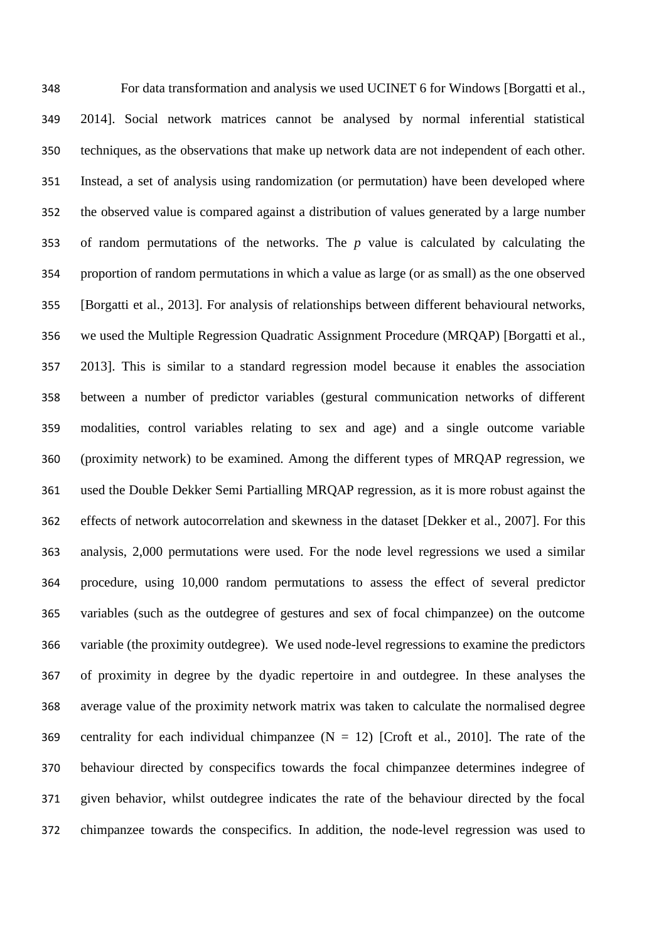For data transformation and analysis we used UCINET 6 for Windows [Borgatti et al., 2014]. Social network matrices cannot be analysed by normal inferential statistical techniques, as the observations that make up network data are not independent of each other. Instead, a set of analysis using randomization (or permutation) have been developed where the observed value is compared against a distribution of values generated by a large number of random permutations of the networks. The *p* value is calculated by calculating the proportion of random permutations in which a value as large (or as small) as the one observed [Borgatti et al., 2013]. For analysis of relationships between different behavioural networks, we used the Multiple Regression Quadratic Assignment Procedure (MRQAP) [Borgatti et al., 2013]. This is similar to a standard regression model because it enables the association between a number of predictor variables (gestural communication networks of different modalities, control variables relating to sex and age) and a single outcome variable (proximity network) to be examined. Among the different types of MRQAP regression, we used the Double Dekker Semi Partialling MRQAP regression, as it is more robust against the effects of network autocorrelation and skewness in the dataset [Dekker et al., 2007]. For this analysis, 2,000 permutations were used. For the node level regressions we used a similar procedure, using 10,000 random permutations to assess the effect of several predictor variables (such as the outdegree of gestures and sex of focal chimpanzee) on the outcome variable (the proximity outdegree). We used node-level regressions to examine the predictors of proximity in degree by the dyadic repertoire in and outdegree. In these analyses the average value of the proximity network matrix was taken to calculate the normalised degree 369 centrality for each individual chimpanzee  $(N = 12)$  [Croft et al., 2010]. The rate of the behaviour directed by conspecifics towards the focal chimpanzee determines indegree of given behavior, whilst outdegree indicates the rate of the behaviour directed by the focal chimpanzee towards the conspecifics. In addition, the node-level regression was used to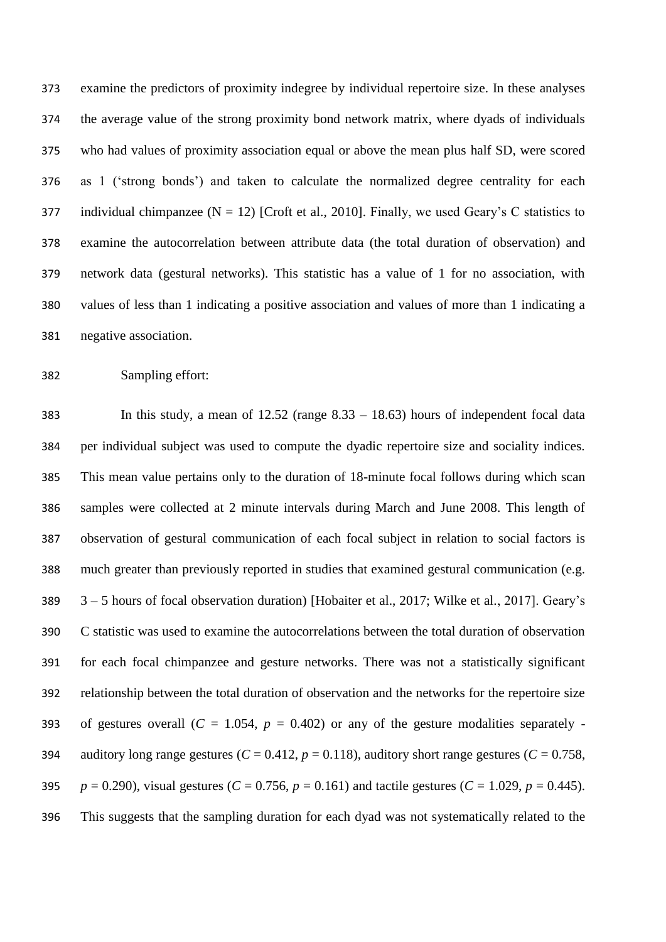examine the predictors of proximity indegree by individual repertoire size. In these analyses the average value of the strong proximity bond network matrix, where dyads of individuals who had values of proximity association equal or above the mean plus half SD, were scored as 1 ('strong bonds') and taken to calculate the normalized degree centrality for each 377 individual chimpanzee ( $N = 12$ ) [Croft et al., 2010]. Finally, we used Geary's C statistics to examine the autocorrelation between attribute data (the total duration of observation) and network data (gestural networks). This statistic has a value of 1 for no association, with values of less than 1 indicating a positive association and values of more than 1 indicating a negative association.

## Sampling effort:

 In this study, a mean of 12.52 (range 8.33 – 18.63) hours of independent focal data per individual subject was used to compute the dyadic repertoire size and sociality indices. This mean value pertains only to the duration of 18-minute focal follows during which scan samples were collected at 2 minute intervals during March and June 2008. This length of observation of gestural communication of each focal subject in relation to social factors is much greater than previously reported in studies that examined gestural communication (e.g. 3 – 5 hours of focal observation duration) [Hobaiter et al., 2017; Wilke et al., 2017]. Geary's C statistic was used to examine the autocorrelations between the total duration of observation for each focal chimpanzee and gesture networks. There was not a statistically significant relationship between the total duration of observation and the networks for the repertoire size 393 of gestures overall  $(C = 1.054, p = 0.402)$  or any of the gesture modalities separately -394 auditory long range gestures  $(C = 0.412, p = 0.118)$ , auditory short range gestures  $(C = 0.758,$  $p = 0.290$ , visual gestures (*C* = 0.756, *p* = 0.161) and tactile gestures (*C* = 1.029, *p* = 0.445). This suggests that the sampling duration for each dyad was not systematically related to the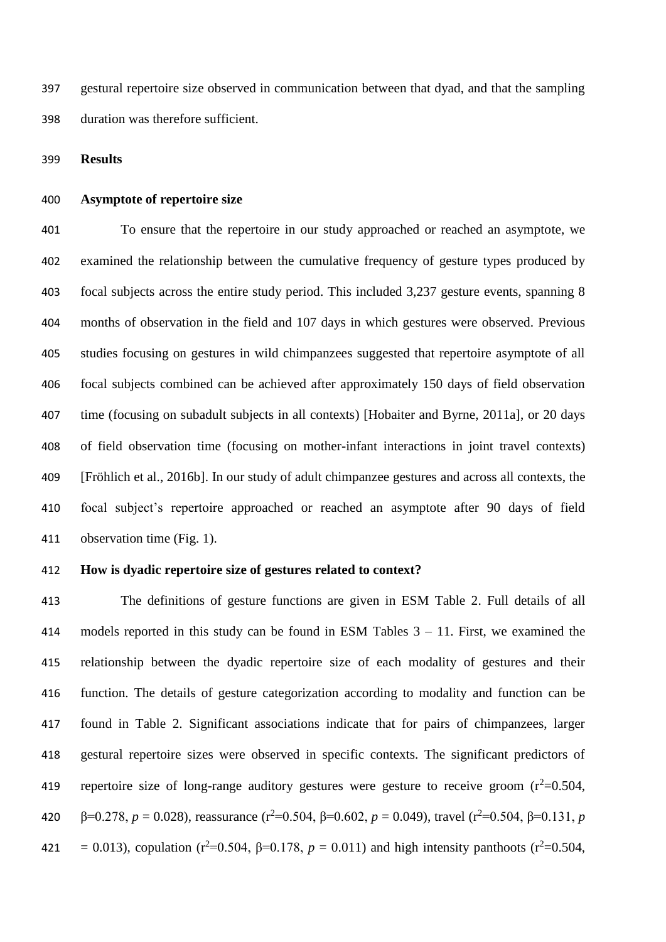gestural repertoire size observed in communication between that dyad, and that the sampling duration was therefore sufficient.

**Results**

#### **Asymptote of repertoire size**

 To ensure that the repertoire in our study approached or reached an asymptote, we examined the relationship between the cumulative frequency of gesture types produced by focal subjects across the entire study period. This included 3,237 gesture events, spanning 8 months of observation in the field and 107 days in which gestures were observed. Previous studies focusing on gestures in wild chimpanzees suggested that repertoire asymptote of all focal subjects combined can be achieved after approximately 150 days of field observation time (focusing on subadult subjects in all contexts) [Hobaiter and Byrne, 2011a], or 20 days of field observation time (focusing on mother-infant interactions in joint travel contexts) [Fröhlich et al., 2016b]. In our study of adult chimpanzee gestures and across all contexts, the focal subject's repertoire approached or reached an asymptote after 90 days of field observation time (Fig. 1).

## **How is dyadic repertoire size of gestures related to context?**

 The definitions of gesture functions are given in ESM Table 2. Full details of all models reported in this study can be found in ESM Tables 3 – 11. First, we examined the relationship between the dyadic repertoire size of each modality of gestures and their function. The details of gesture categorization according to modality and function can be found in Table 2. Significant associations indicate that for pairs of chimpanzees, larger gestural repertoire sizes were observed in specific contexts. The significant predictors of 419 repertoire size of long-range auditory gestures were gesture to receive groom  $(r^2=0.504, r^2)$ 420 β=0.278,  $p = 0.028$ ), reassurance (r<sup>2</sup>=0.504, β=0.602,  $p = 0.049$ ), travel (r<sup>2</sup>=0.504, β=0.131, *p* 421 = 0.013), copulation ( $r^2$ =0.504,  $\beta$ =0.178,  $p = 0.011$ ) and high intensity panthoots ( $r^2$ =0.504,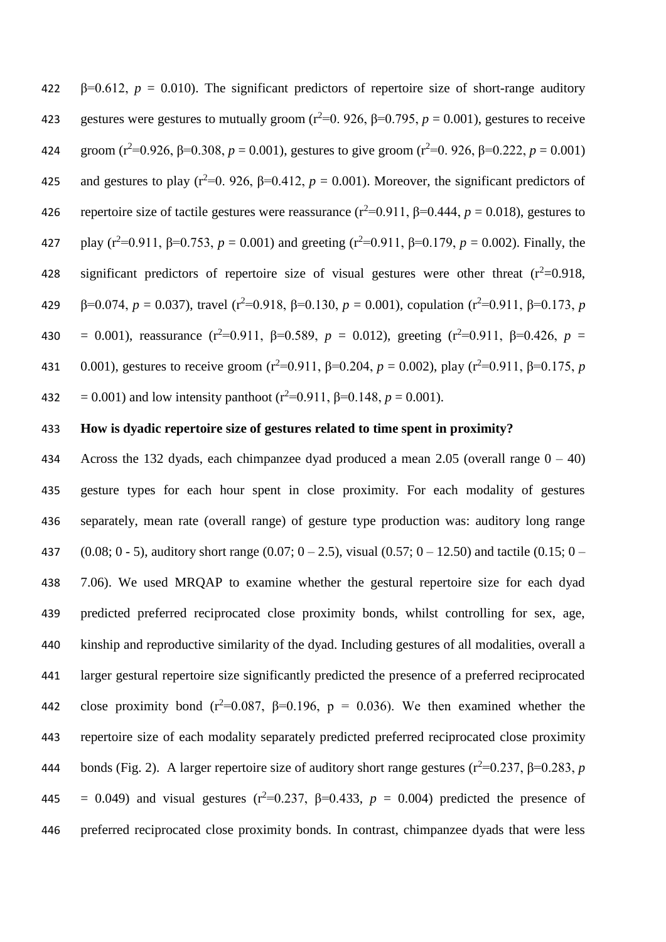422  $\beta$ =0.612,  $p = 0.010$ ). The significant predictors of repertoire size of short-range auditory 423 gestures were gestures to mutually groom ( $r^2=0$ . 926,  $\beta=0.795$ ,  $p = 0.001$ ), gestures to receive 424 groom ( $r^2$ =0.926,  $\beta$ =0.308,  $p$  = 0.001), gestures to give groom ( $r^2$ =0.926,  $\beta$ =0.222,  $p$  = 0.001) 425 and gestures to play ( $r^2$ =0. 926,  $\beta$ =0.412,  $p = 0.001$ ). Moreover, the significant predictors of 426 repertoire size of tactile gestures were reassurance  $(r^2=0.911, \beta=0.444, p=0.018)$ , gestures to  $\mu$  play (r<sup>2</sup>=0.911,  $\beta$ =0.753,  $p = 0.001$ ) and greeting (r<sup>2</sup>=0.911,  $\beta$ =0.179,  $p = 0.002$ ). Finally, the 428 significant predictors of repertoire size of visual gestures were other threat  $(r^2=0.918,$ 429 β=0.074,  $p = 0.037$ ), travel (r<sup>2</sup>=0.918, β=0.130,  $p = 0.001$ ), copulation (r<sup>2</sup>=0.911, β=0.173, *p* 430 = 0.001), reassurance (r<sup>2</sup>=0.911,  $\beta$ =0.589,  $p = 0.012$ ), greeting (r<sup>2</sup>=0.911,  $\beta$ =0.426,  $p =$ 431 0.001), gestures to receive groom ( $r^2$ =0.911,  $\beta$ =0.204,  $p = 0.002$ ), play ( $r^2$ =0.911,  $\beta$ =0.175,  $p$ 432 = 0.001) and low intensity panthoot ( $r^2$ =0.911,  $\beta$ =0.148,  $p$  = 0.001).

## 433 **How is dyadic repertoire size of gestures related to time spent in proximity?**

434 Across the 132 dyads, each chimpanzee dyad produced a mean 2.05 (overall range  $0 - 40$ ) gesture types for each hour spent in close proximity. For each modality of gestures separately, mean rate (overall range) of gesture type production was: auditory long range 437 (0.08; 0 - 5), auditory short range (0.07; 0 – 2.5), visual (0.57; 0 – 12.50) and tactile (0.15; 0 – 7.06). We used MRQAP to examine whether the gestural repertoire size for each dyad predicted preferred reciprocated close proximity bonds, whilst controlling for sex, age, kinship and reproductive similarity of the dyad. Including gestures of all modalities, overall a larger gestural repertoire size significantly predicted the presence of a preferred reciprocated 442 close proximity bond ( $r^2$ =0.087,  $\beta$ =0.196,  $p = 0.036$ ). We then examined whether the repertoire size of each modality separately predicted preferred reciprocated close proximity 444 bonds (Fig. 2). A larger repertoire size of auditory short range gestures ( $r^2$ =0.237, β=0.283, *p* 445 = 0.049) and visual gestures ( $r^2$ =0.237,  $\beta$ =0.433,  $p = 0.004$ ) predicted the presence of preferred reciprocated close proximity bonds. In contrast, chimpanzee dyads that were less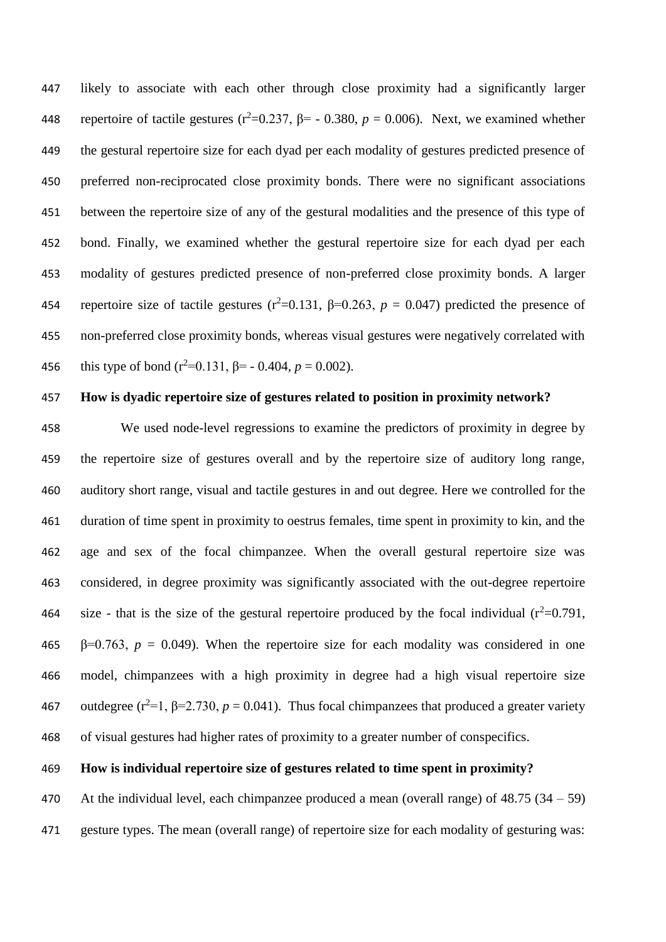likely to associate with each other through close proximity had a significantly larger 448 repertoire of tactile gestures ( $r^2$ =0.237,  $\beta$ = - 0.380,  $p$  = 0.006). Next, we examined whether the gestural repertoire size for each dyad per each modality of gestures predicted presence of preferred non-reciprocated close proximity bonds. There were no significant associations between the repertoire size of any of the gestural modalities and the presence of this type of bond. Finally, we examined whether the gestural repertoire size for each dyad per each modality of gestures predicted presence of non-preferred close proximity bonds. A larger 454 repertoire size of tactile gestures ( $r^2$ =0.131,  $\beta$ =0.263,  $p = 0.047$ ) predicted the presence of non-preferred close proximity bonds, whereas visual gestures were negatively correlated with 456 this type of bond  $(r^2=0.131, \beta = -0.404, p = 0.002)$ .

## **How is dyadic repertoire size of gestures related to position in proximity network?**

 We used node-level regressions to examine the predictors of proximity in degree by the repertoire size of gestures overall and by the repertoire size of auditory long range, auditory short range, visual and tactile gestures in and out degree. Here we controlled for the duration of time spent in proximity to oestrus females, time spent in proximity to kin, and the age and sex of the focal chimpanzee. When the overall gestural repertoire size was considered, in degree proximity was significantly associated with the out-degree repertoire 464 size - that is the size of the gestural repertoire produced by the focal individual  $(r^2=0.791,$  $\beta$ =0.763,  $p = 0.049$ ). When the repertoire size for each modality was considered in one model, chimpanzees with a high proximity in degree had a high visual repertoire size 467 outdegree ( $r^2=1$ ,  $\beta=2.730$ ,  $p = 0.041$ ). Thus focal chimpanzees that produced a greater variety of visual gestures had higher rates of proximity to a greater number of conspecifics.

## **How is individual repertoire size of gestures related to time spent in proximity?**

470 At the individual level, each chimpanzee produced a mean (overall range) of  $48.75$  ( $34 - 59$ ) gesture types. The mean (overall range) of repertoire size for each modality of gesturing was: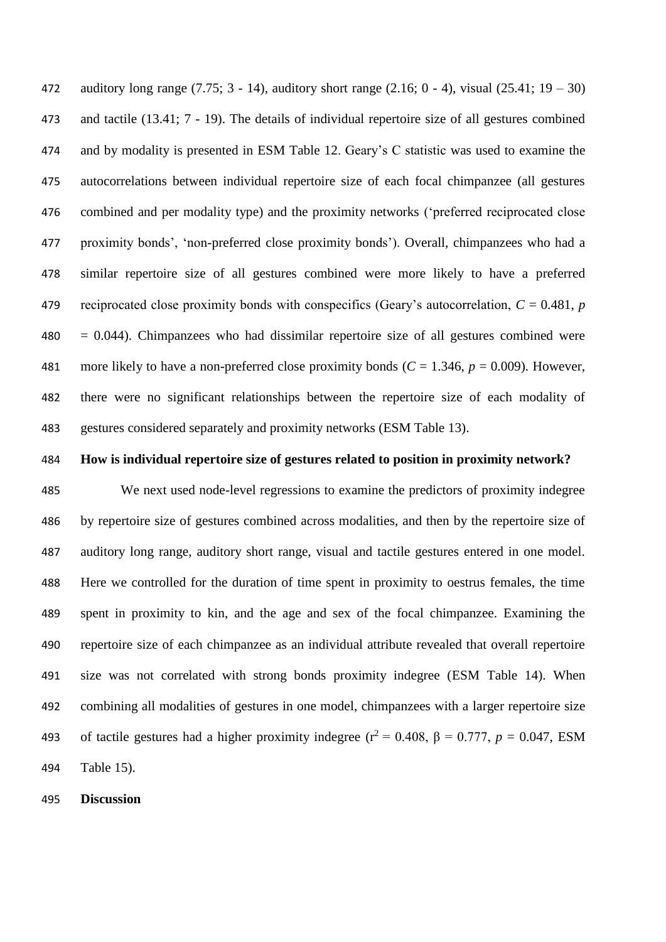auditory long range (7.75; 3 - 14), auditory short range (2.16; 0 - 4), visual (25.41; 19 – 30) and tactile (13.41; 7 - 19). The details of individual repertoire size of all gestures combined and by modality is presented in ESM Table 12. Geary's C statistic was used to examine the autocorrelations between individual repertoire size of each focal chimpanzee (all gestures combined and per modality type) and the proximity networks ('preferred reciprocated close proximity bonds', 'non-preferred close proximity bonds'). Overall, chimpanzees who had a similar repertoire size of all gestures combined were more likely to have a preferred 479 reciprocated close proximity bonds with conspecifics (Geary's autocorrelation,  $C = 0.481$ , *p*  $480 = 0.044$ ). Chimpanzees who had dissimilar repertoire size of all gestures combined were 481 more likely to have a non-preferred close proximity bonds  $(C = 1.346, p = 0.009)$ . However, there were no significant relationships between the repertoire size of each modality of gestures considered separately and proximity networks (ESM Table 13).

**How is individual repertoire size of gestures related to position in proximity network?**

 We next used node-level regressions to examine the predictors of proximity indegree by repertoire size of gestures combined across modalities, and then by the repertoire size of auditory long range, auditory short range, visual and tactile gestures entered in one model. Here we controlled for the duration of time spent in proximity to oestrus females, the time spent in proximity to kin, and the age and sex of the focal chimpanzee. Examining the repertoire size of each chimpanzee as an individual attribute revealed that overall repertoire size was not correlated with strong bonds proximity indegree (ESM Table 14). When combining all modalities of gestures in one model, chimpanzees with a larger repertoire size 493 of tactile gestures had a higher proximity indegree ( $r^2 = 0.408$ ,  $β = 0.777$ ,  $p = 0.047$ , ESM Table 15).

**Discussion**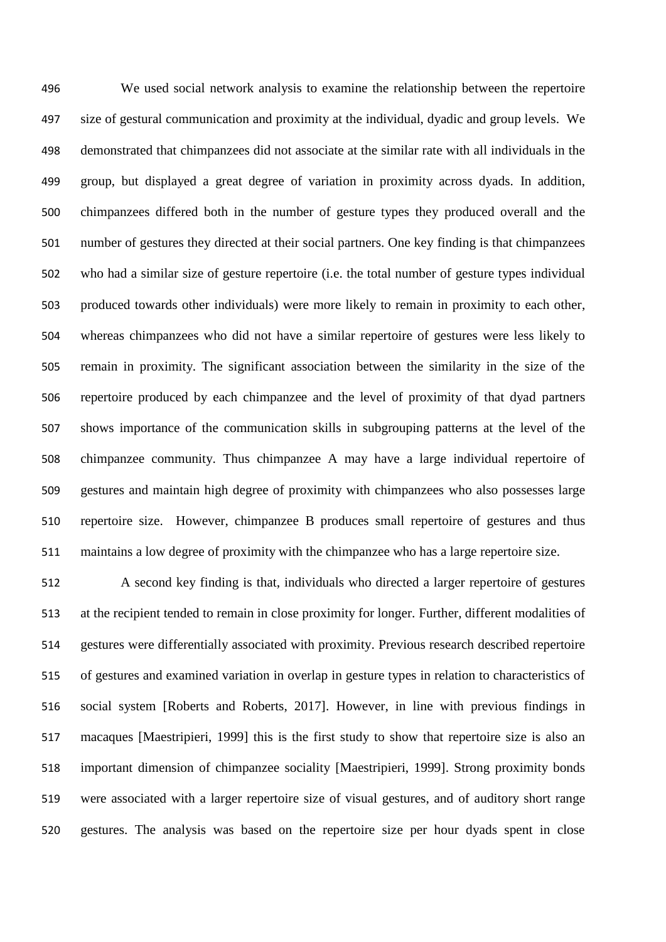We used social network analysis to examine the relationship between the repertoire size of gestural communication and proximity at the individual, dyadic and group levels. We demonstrated that chimpanzees did not associate at the similar rate with all individuals in the group, but displayed a great degree of variation in proximity across dyads. In addition, chimpanzees differed both in the number of gesture types they produced overall and the number of gestures they directed at their social partners. One key finding is that chimpanzees who had a similar size of gesture repertoire (i.e. the total number of gesture types individual produced towards other individuals) were more likely to remain in proximity to each other, whereas chimpanzees who did not have a similar repertoire of gestures were less likely to remain in proximity. The significant association between the similarity in the size of the repertoire produced by each chimpanzee and the level of proximity of that dyad partners shows importance of the communication skills in subgrouping patterns at the level of the chimpanzee community. Thus chimpanzee A may have a large individual repertoire of gestures and maintain high degree of proximity with chimpanzees who also possesses large repertoire size. However, chimpanzee B produces small repertoire of gestures and thus maintains a low degree of proximity with the chimpanzee who has a large repertoire size.

 A second key finding is that, individuals who directed a larger repertoire of gestures at the recipient tended to remain in close proximity for longer. Further, different modalities of gestures were differentially associated with proximity. Previous research described repertoire of gestures and examined variation in overlap in gesture types in relation to characteristics of social system [Roberts and Roberts, 2017]. However, in line with previous findings in macaques [Maestripieri, 1999] this is the first study to show that repertoire size is also an important dimension of chimpanzee sociality [Maestripieri, 1999]. Strong proximity bonds were associated with a larger repertoire size of visual gestures, and of auditory short range gestures. The analysis was based on the repertoire size per hour dyads spent in close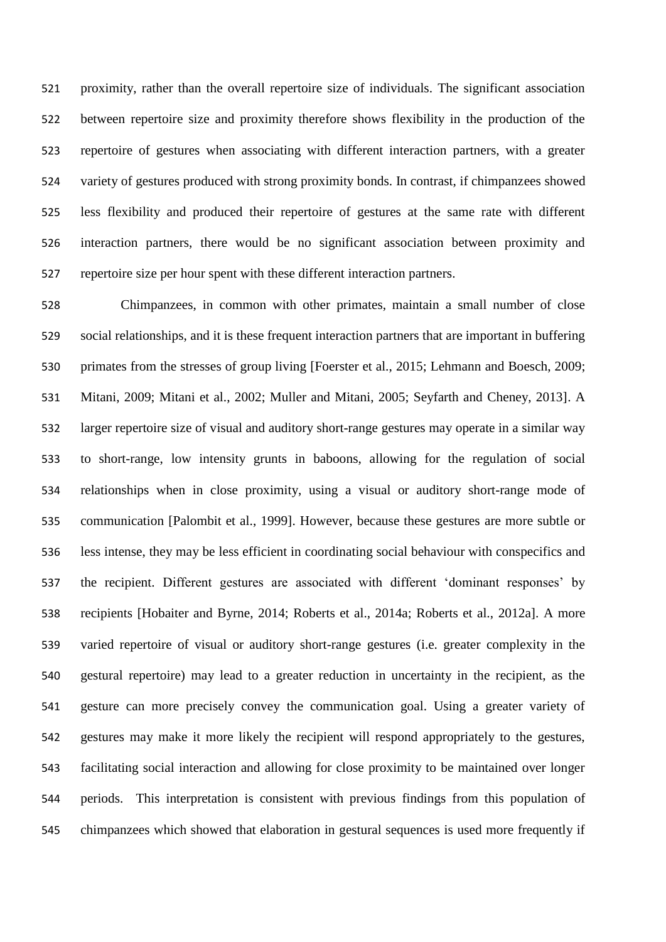proximity, rather than the overall repertoire size of individuals. The significant association between repertoire size and proximity therefore shows flexibility in the production of the repertoire of gestures when associating with different interaction partners, with a greater variety of gestures produced with strong proximity bonds. In contrast, if chimpanzees showed less flexibility and produced their repertoire of gestures at the same rate with different interaction partners, there would be no significant association between proximity and repertoire size per hour spent with these different interaction partners.

 Chimpanzees, in common with other primates, maintain a small number of close social relationships, and it is these frequent interaction partners that are important in buffering primates from the stresses of group living [Foerster et al., 2015; Lehmann and Boesch, 2009; Mitani, 2009; Mitani et al., 2002; Muller and Mitani, 2005; Seyfarth and Cheney, 2013]. A larger repertoire size of visual and auditory short-range gestures may operate in a similar way to short-range, low intensity grunts in baboons, allowing for the regulation of social relationships when in close proximity, using a visual or auditory short-range mode of communication [Palombit et al., 1999]. However, because these gestures are more subtle or less intense, they may be less efficient in coordinating social behaviour with conspecifics and the recipient. Different gestures are associated with different 'dominant responses' by recipients [Hobaiter and Byrne, 2014; Roberts et al., 2014a; Roberts et al., 2012a]. A more varied repertoire of visual or auditory short-range gestures (i.e. greater complexity in the gestural repertoire) may lead to a greater reduction in uncertainty in the recipient, as the gesture can more precisely convey the communication goal. Using a greater variety of gestures may make it more likely the recipient will respond appropriately to the gestures, facilitating social interaction and allowing for close proximity to be maintained over longer periods. This interpretation is consistent with previous findings from this population of chimpanzees which showed that elaboration in gestural sequences is used more frequently if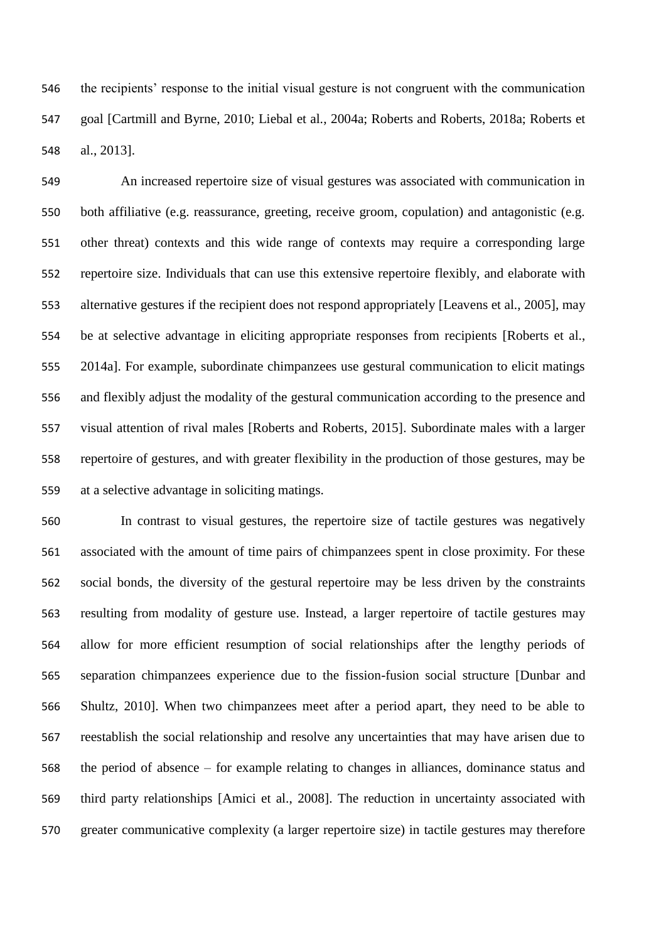the recipients' response to the initial visual gesture is not congruent with the communication goal [Cartmill and Byrne, 2010; Liebal et al., 2004a; Roberts and Roberts, 2018a; Roberts et al., 2013].

 An increased repertoire size of visual gestures was associated with communication in both affiliative (e.g. reassurance, greeting, receive groom, copulation) and antagonistic (e.g. other threat) contexts and this wide range of contexts may require a corresponding large repertoire size. Individuals that can use this extensive repertoire flexibly, and elaborate with alternative gestures if the recipient does not respond appropriately [Leavens et al., 2005], may be at selective advantage in eliciting appropriate responses from recipients [Roberts et al., 2014a]. For example, subordinate chimpanzees use gestural communication to elicit matings and flexibly adjust the modality of the gestural communication according to the presence and visual attention of rival males [Roberts and Roberts, 2015]. Subordinate males with a larger repertoire of gestures, and with greater flexibility in the production of those gestures, may be at a selective advantage in soliciting matings.

 In contrast to visual gestures, the repertoire size of tactile gestures was negatively associated with the amount of time pairs of chimpanzees spent in close proximity. For these social bonds, the diversity of the gestural repertoire may be less driven by the constraints resulting from modality of gesture use. Instead, a larger repertoire of tactile gestures may allow for more efficient resumption of social relationships after the lengthy periods of separation chimpanzees experience due to the fission-fusion social structure [Dunbar and Shultz, 2010]. When two chimpanzees meet after a period apart, they need to be able to reestablish the social relationship and resolve any uncertainties that may have arisen due to the period of absence – for example relating to changes in alliances, dominance status and third party relationships [Amici et al., 2008]. The reduction in uncertainty associated with greater communicative complexity (a larger repertoire size) in tactile gestures may therefore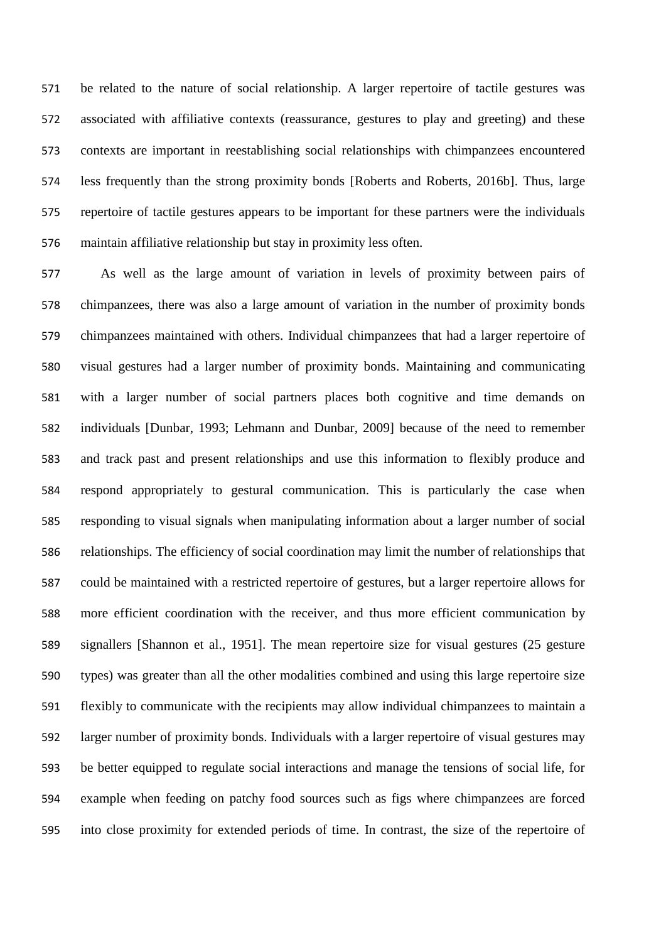be related to the nature of social relationship. A larger repertoire of tactile gestures was associated with affiliative contexts (reassurance, gestures to play and greeting) and these contexts are important in reestablishing social relationships with chimpanzees encountered less frequently than the strong proximity bonds [Roberts and Roberts, 2016b]. Thus, large repertoire of tactile gestures appears to be important for these partners were the individuals maintain affiliative relationship but stay in proximity less often.

 As well as the large amount of variation in levels of proximity between pairs of chimpanzees, there was also a large amount of variation in the number of proximity bonds chimpanzees maintained with others. Individual chimpanzees that had a larger repertoire of visual gestures had a larger number of proximity bonds. Maintaining and communicating with a larger number of social partners places both cognitive and time demands on individuals [Dunbar, 1993; Lehmann and Dunbar, 2009] because of the need to remember and track past and present relationships and use this information to flexibly produce and respond appropriately to gestural communication. This is particularly the case when responding to visual signals when manipulating information about a larger number of social relationships. The efficiency of social coordination may limit the number of relationships that could be maintained with a restricted repertoire of gestures, but a larger repertoire allows for more efficient coordination with the receiver, and thus more efficient communication by signallers [Shannon et al., 1951]. The mean repertoire size for visual gestures (25 gesture types) was greater than all the other modalities combined and using this large repertoire size flexibly to communicate with the recipients may allow individual chimpanzees to maintain a larger number of proximity bonds. Individuals with a larger repertoire of visual gestures may be better equipped to regulate social interactions and manage the tensions of social life, for example when feeding on patchy food sources such as figs where chimpanzees are forced into close proximity for extended periods of time. In contrast, the size of the repertoire of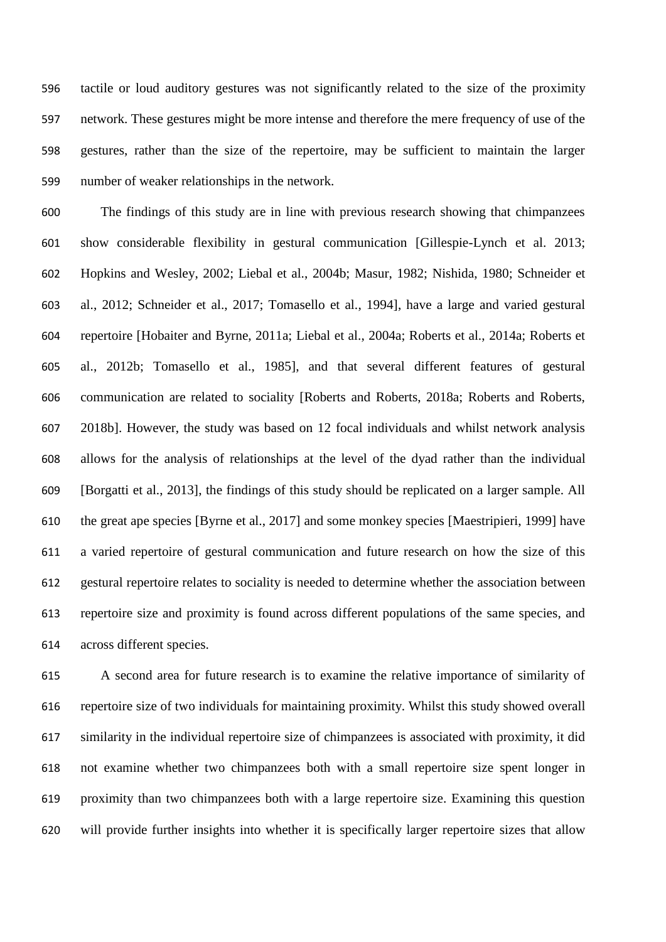tactile or loud auditory gestures was not significantly related to the size of the proximity network. These gestures might be more intense and therefore the mere frequency of use of the gestures, rather than the size of the repertoire, may be sufficient to maintain the larger number of weaker relationships in the network.

 The findings of this study are in line with previous research showing that chimpanzees show considerable flexibility in gestural communication [Gillespie-Lynch et al. 2013; Hopkins and Wesley, 2002; Liebal et al., 2004b; Masur, 1982; Nishida, 1980; Schneider et al., 2012; Schneider et al., 2017; Tomasello et al., 1994], have a large and varied gestural repertoire [Hobaiter and Byrne, 2011a; Liebal et al., 2004a; Roberts et al., 2014a; Roberts et al., 2012b; Tomasello et al., 1985], and that several different features of gestural communication are related to sociality [Roberts and Roberts, 2018a; Roberts and Roberts, 2018b]. However, the study was based on 12 focal individuals and whilst network analysis allows for the analysis of relationships at the level of the dyad rather than the individual [Borgatti et al., 2013], the findings of this study should be replicated on a larger sample. All the great ape species [Byrne et al., 2017] and some monkey species [Maestripieri, 1999] have a varied repertoire of gestural communication and future research on how the size of this gestural repertoire relates to sociality is needed to determine whether the association between repertoire size and proximity is found across different populations of the same species, and across different species.

 A second area for future research is to examine the relative importance of similarity of repertoire size of two individuals for maintaining proximity. Whilst this study showed overall similarity in the individual repertoire size of chimpanzees is associated with proximity, it did not examine whether two chimpanzees both with a small repertoire size spent longer in proximity than two chimpanzees both with a large repertoire size. Examining this question will provide further insights into whether it is specifically larger repertoire sizes that allow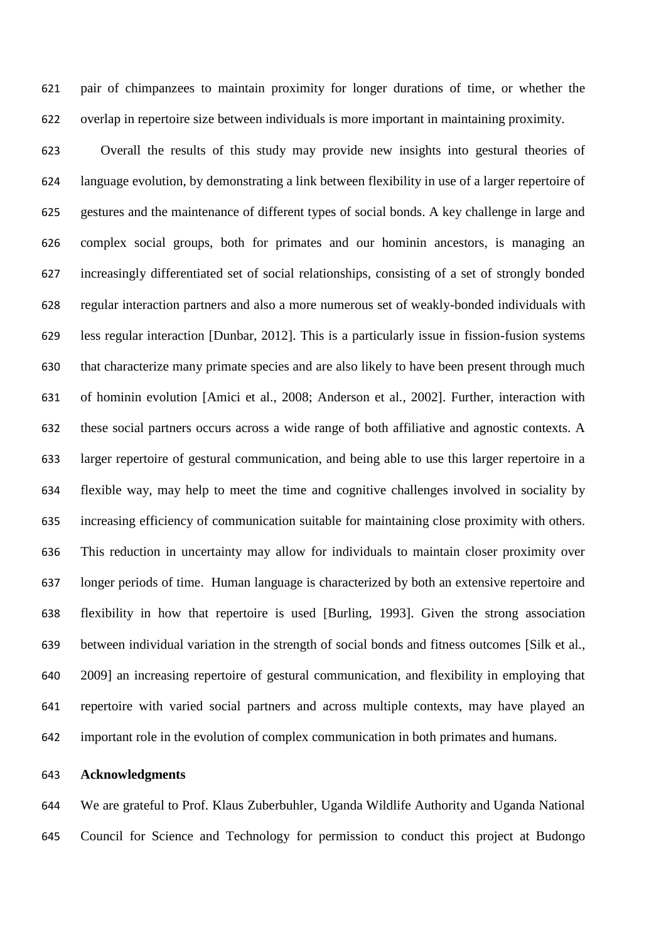pair of chimpanzees to maintain proximity for longer durations of time, or whether the overlap in repertoire size between individuals is more important in maintaining proximity.

 Overall the results of this study may provide new insights into gestural theories of language evolution, by demonstrating a link between flexibility in use of a larger repertoire of gestures and the maintenance of different types of social bonds. A key challenge in large and complex social groups, both for primates and our hominin ancestors, is managing an increasingly differentiated set of social relationships, consisting of a set of strongly bonded regular interaction partners and also a more numerous set of weakly-bonded individuals with less regular interaction [Dunbar, 2012]. This is a particularly issue in fission-fusion systems that characterize many primate species and are also likely to have been present through much of hominin evolution [Amici et al., 2008; Anderson et al., 2002]. Further, interaction with these social partners occurs across a wide range of both affiliative and agnostic contexts. A larger repertoire of gestural communication, and being able to use this larger repertoire in a flexible way, may help to meet the time and cognitive challenges involved in sociality by increasing efficiency of communication suitable for maintaining close proximity with others. This reduction in uncertainty may allow for individuals to maintain closer proximity over longer periods of time. Human language is characterized by both an extensive repertoire and flexibility in how that repertoire is used [Burling, 1993]. Given the strong association between individual variation in the strength of social bonds and fitness outcomes [Silk et al., 2009] an increasing repertoire of gestural communication, and flexibility in employing that repertoire with varied social partners and across multiple contexts, may have played an important role in the evolution of complex communication in both primates and humans.

#### **Acknowledgments**

 We are grateful to Prof. Klaus Zuberbuhler, Uganda Wildlife Authority and Uganda National Council for Science and Technology for permission to conduct this project at Budongo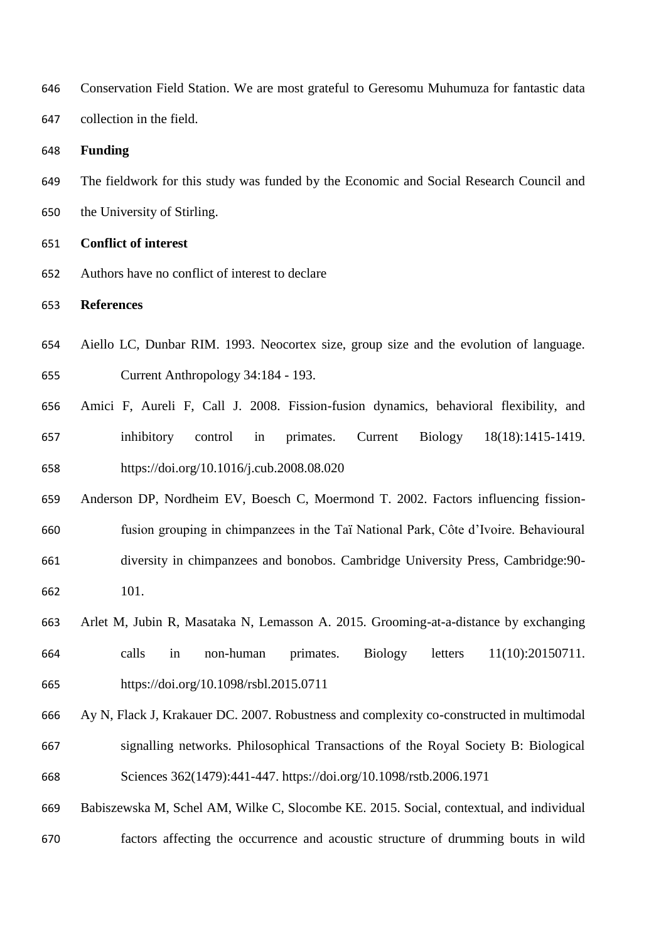| 646 | Conservation Field Station. We are most grateful to Geresomu Muhumuza for fantastic data   |
|-----|--------------------------------------------------------------------------------------------|
| 647 | collection in the field.                                                                   |
| 648 | <b>Funding</b>                                                                             |
| 649 | The fieldwork for this study was funded by the Economic and Social Research Council and    |
| 650 | the University of Stirling.                                                                |
| 651 | <b>Conflict of interest</b>                                                                |
| 652 | Authors have no conflict of interest to declare                                            |
| 653 | <b>References</b>                                                                          |
| 654 | Aiello LC, Dunbar RIM. 1993. Neocortex size, group size and the evolution of language.     |
| 655 | Current Anthropology 34:184 - 193.                                                         |
| 656 | Amici F, Aureli F, Call J. 2008. Fission-fusion dynamics, behavioral flexibility, and      |
| 657 | inhibitory<br>Current<br><b>Biology</b><br>18(18):1415-1419.<br>control<br>primates.<br>in |
| 658 | https://doi.org/10.1016/j.cub.2008.08.020                                                  |
| 659 | Anderson DP, Nordheim EV, Boesch C, Moermond T. 2002. Factors influencing fission-         |
| 660 | fusion grouping in chimpanzees in the Taï National Park, Côte d'Ivoire. Behavioural        |
| 661 | diversity in chimpanzees and bonobos. Cambridge University Press, Cambridge: 90-           |
| 662 | 101.                                                                                       |
| 663 | Arlet M, Jubin R, Masataka N, Lemasson A. 2015. Grooming-at-a-distance by exchanging       |
| 664 | letters<br>11(10):20150711.<br>calls<br>in<br>non-human<br>primates.<br><b>Biology</b>     |
| 665 | https://doi.org/10.1098/rsbl.2015.0711                                                     |
| 666 | Ay N, Flack J, Krakauer DC. 2007. Robustness and complexity co-constructed in multimodal   |
| 667 | signalling networks. Philosophical Transactions of the Royal Society B: Biological         |
| 668 | Sciences 362(1479):441-447. https://doi.org/10.1098/rstb.2006.1971                         |
| 669 | Babiszewska M, Schel AM, Wilke C, Slocombe KE. 2015. Social, contextual, and individual    |
| 670 | factors affecting the occurrence and acoustic structure of drumming bouts in wild          |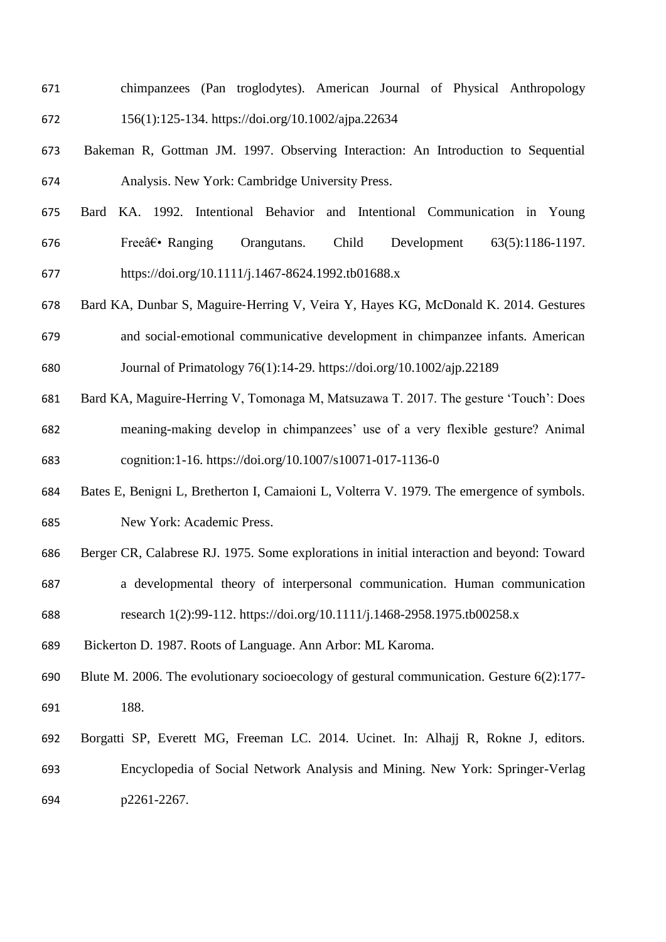- chimpanzees (Pan troglodytes). American Journal of Physical Anthropology 156(1):125-134. https://doi.org/10.1002/ajpa.22634
- Bakeman R, Gottman JM. 1997. Observing Interaction: An Introduction to Sequential Analysis. New York: Cambridge University Press.
- Bard KA. 1992. Intentional Behavior and Intentional Communication in Young Free $\hat{a} \in \mathbb{R}$  Ranging Orangutans. Child Development  $63(5):1186-1197$ . https://doi.org/10.1111/j.1467-8624.1992.tb01688.x
- Bard KA, Dunbar S, Maguire‐Herring V, Veira Y, Hayes KG, McDonald K. 2014. Gestures and social‐emotional communicative development in chimpanzee infants. American Journal of Primatology 76(1):14-29. https://doi.org/10.1002/ajp.22189
- Bard KA, Maguire-Herring V, Tomonaga M, Matsuzawa T. 2017. The gesture 'Touch': Does meaning-making develop in chimpanzees' use of a very flexible gesture? Animal cognition:1-16. https://doi.org/10.1007/s10071-017-1136-0
- Bates E, Benigni L, Bretherton I, Camaioni L, Volterra V. 1979. The emergence of symbols. New York: Academic Press.
- Berger CR, Calabrese RJ. 1975. Some explorations in initial interaction and beyond: Toward a developmental theory of interpersonal communication. Human communication
- research 1(2):99-112. https://doi.org/10.1111/j.1468-2958.1975.tb00258.x
- Bickerton D. 1987. Roots of Language. Ann Arbor: ML Karoma.
- Blute M. 2006. The evolutionary socioecology of gestural communication. Gesture 6(2):177- 188.
- Borgatti SP, Everett MG, Freeman LC. 2014. Ucinet. In: Alhajj R, Rokne J, editors. Encyclopedia of Social Network Analysis and Mining. New York: Springer-Verlag p2261-2267.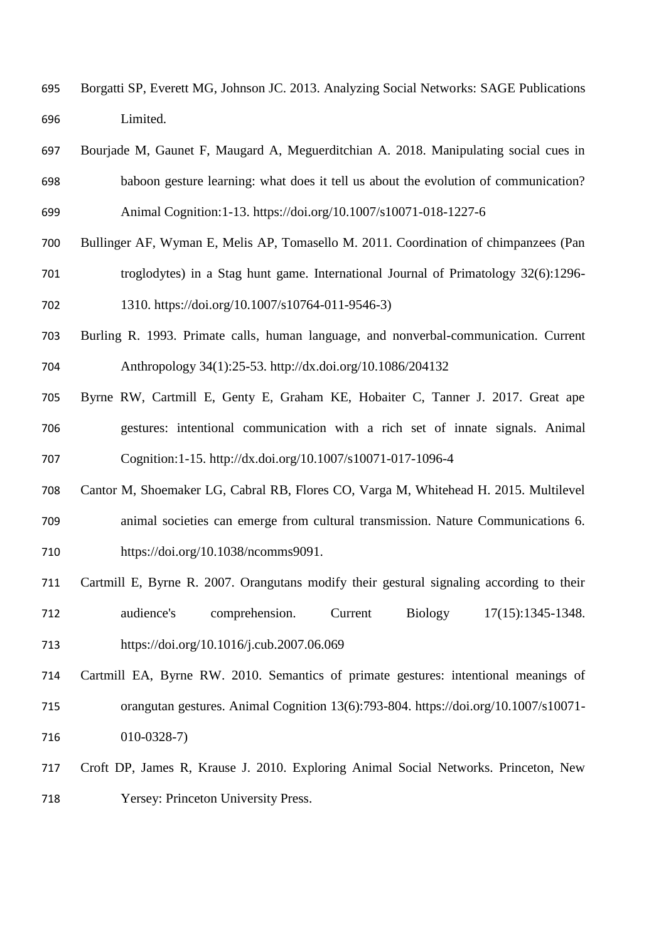- Borgatti SP, Everett MG, Johnson JC. 2013. Analyzing Social Networks: SAGE Publications Limited.
- Bourjade M, Gaunet F, Maugard A, Meguerditchian A. 2018. Manipulating social cues in baboon gesture learning: what does it tell us about the evolution of communication? Animal Cognition:1-13. https://doi.org/10.1007/s10071-018-1227-6
- Bullinger AF, Wyman E, Melis AP, Tomasello M. 2011. Coordination of chimpanzees (Pan troglodytes) in a Stag hunt game. International Journal of Primatology 32(6):1296- 1310. https://doi.org/10.1007/s10764-011-9546-3)
- Burling R. 1993. Primate calls, human language, and nonverbal-communication. Current Anthropology 34(1):25-53. http://dx.doi.org/10.1086/204132
- Byrne RW, Cartmill E, Genty E, Graham KE, Hobaiter C, Tanner J. 2017. Great ape gestures: intentional communication with a rich set of innate signals. Animal Cognition:1-15. http://dx.doi.org/10.1007/s10071-017-1096-4
- Cantor M, Shoemaker LG, Cabral RB, Flores CO, Varga M, Whitehead H. 2015. Multilevel animal societies can emerge from cultural transmission. Nature Communications 6. https://doi.org/10.1038/ncomms9091.
- Cartmill E, Byrne R. 2007. Orangutans modify their gestural signaling according to their audience's comprehension. Current Biology 17(15):1345-1348. https://doi.org/10.1016/j.cub.2007.06.069
- Cartmill EA, Byrne RW. 2010. Semantics of primate gestures: intentional meanings of orangutan gestures. Animal Cognition 13(6):793-804. https://doi.org/10.1007/s10071- 010-0328-7)
- Croft DP, James R, Krause J. 2010. Exploring Animal Social Networks. Princeton, New Yersey: Princeton University Press.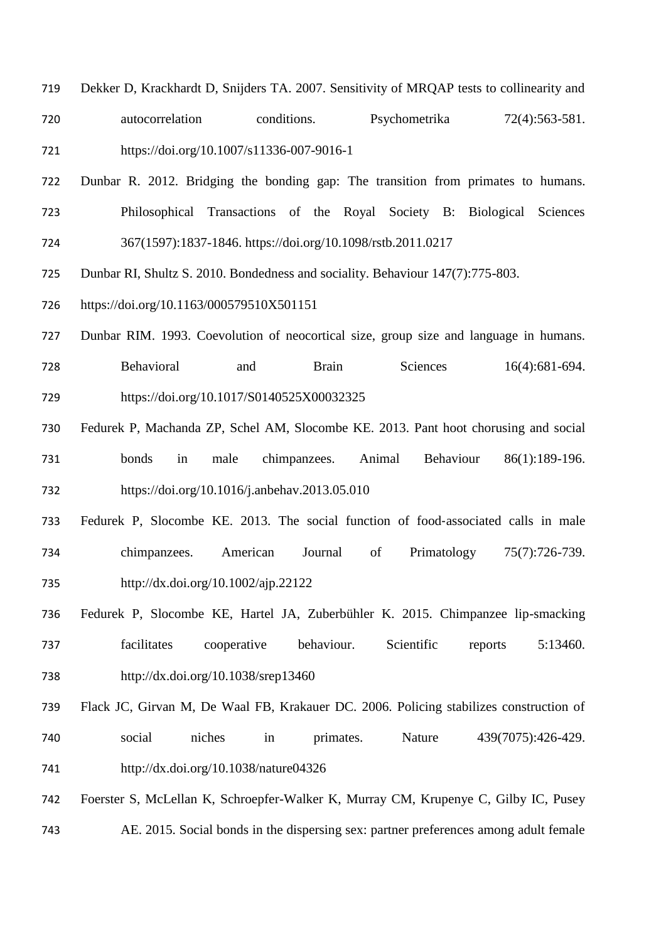- Dekker D, Krackhardt D, Snijders TA. 2007. Sensitivity of MRQAP tests to collinearity and autocorrelation conditions. Psychometrika 72(4):563-581. https://doi.org/10.1007/s11336-007-9016-1
- Dunbar R. 2012. Bridging the bonding gap: The transition from primates to humans. Philosophical Transactions of the Royal Society B: Biological Sciences 367(1597):1837-1846. https://doi.org/10.1098/rstb.2011.0217
- Dunbar RI, Shultz S. 2010. Bondedness and sociality. Behaviour 147(7):775-803.
- https://doi.org/10.1163/000579510X501151
- Dunbar RIM. 1993. Coevolution of neocortical size, group size and language in humans. Behavioral and Brain Sciences 16(4):681-694. https://doi.org/10.1017/S0140525X00032325
- Fedurek P, Machanda ZP, Schel AM, Slocombe KE. 2013. Pant hoot chorusing and social bonds in male chimpanzees. Animal Behaviour 86(1):189-196. https://doi.org/10.1016/j.anbehav.2013.05.010
- Fedurek P, Slocombe KE. 2013. The social function of food‐associated calls in male chimpanzees. American Journal of Primatology 75(7):726-739. http://dx.doi.org/10.1002/ajp.22122
- Fedurek P, Slocombe KE, Hartel JA, Zuberbühler K. 2015. Chimpanzee lip-smacking facilitates cooperative behaviour. Scientific reports 5:13460. http://dx.doi.org/10.1038/srep13460
- Flack JC, Girvan M, De Waal FB, Krakauer DC. 2006. Policing stabilizes construction of social niches in primates. Nature 439(7075):426-429. http://dx.doi.org/10.1038/nature04326
- Foerster S, McLellan K, Schroepfer-Walker K, Murray CM, Krupenye C, Gilby IC, Pusey AE. 2015. Social bonds in the dispersing sex: partner preferences among adult female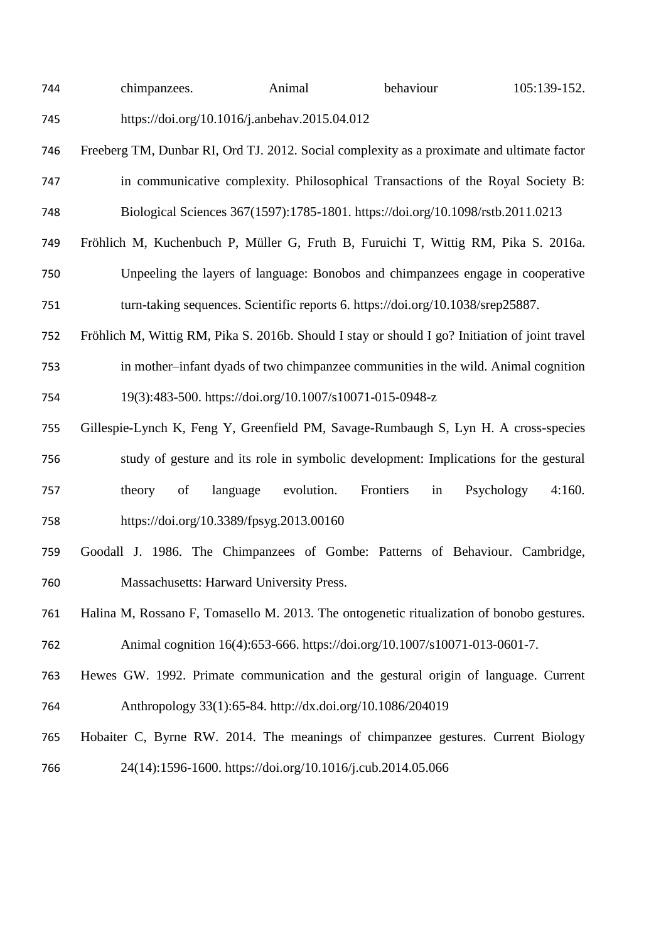| 744 | chimpanzees.                                  | Animal | behaviour | 105:139-152. |
|-----|-----------------------------------------------|--------|-----------|--------------|
| 745 | https://doi.org/10.1016/j.anbehav.2015.04.012 |        |           |              |

- Freeberg TM, Dunbar RI, Ord TJ. 2012. Social complexity as a proximate and ultimate factor in communicative complexity. Philosophical Transactions of the Royal Society B: Biological Sciences 367(1597):1785-1801. https://doi.org/10.1098/rstb.2011.0213
- Fröhlich M, Kuchenbuch P, Müller G, Fruth B, Furuichi T, Wittig RM, Pika S. 2016a. Unpeeling the layers of language: Bonobos and chimpanzees engage in cooperative turn-taking sequences. Scientific reports 6. https://doi.org/10.1038/srep25887.
- Fröhlich M, Wittig RM, Pika S. 2016b. Should I stay or should I go? Initiation of joint travel in mother–infant dyads of two chimpanzee communities in the wild. Animal cognition 19(3):483-500. https://doi.org/10.1007/s10071-015-0948-z
- Gillespie-Lynch K, Feng Y, Greenfield PM, Savage-Rumbaugh S, Lyn H. A cross-species study of gesture and its role in symbolic development: Implications for the gestural theory of language evolution. Frontiers in Psychology 4:160. https://doi.org/10.3389/fpsyg.2013.00160
- Goodall J. 1986. The Chimpanzees of Gombe: Patterns of Behaviour. Cambridge, Massachusetts: Harward University Press.
- Halina M, Rossano F, Tomasello M. 2013. The ontogenetic ritualization of bonobo gestures. Animal cognition 16(4):653-666. https://doi.org/10.1007/s10071-013-0601-7.
- Hewes GW. 1992. Primate communication and the gestural origin of language. Current Anthropology 33(1):65-84. http://dx.doi.org/10.1086/204019
- Hobaiter C, Byrne RW. 2014. The meanings of chimpanzee gestures. Current Biology 24(14):1596-1600. https://doi.org/10.1016/j.cub.2014.05.066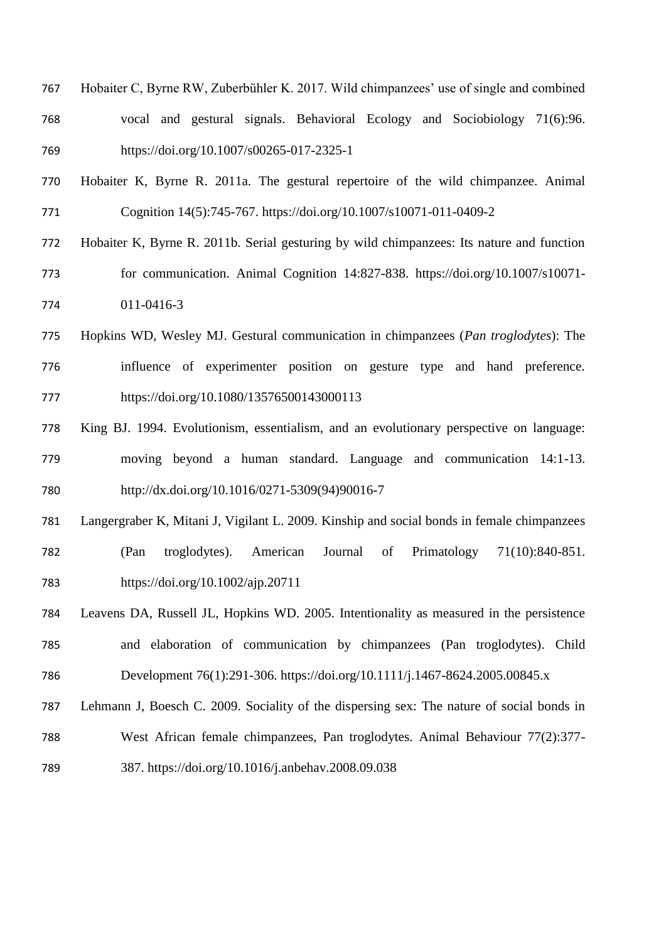- Hobaiter C, Byrne RW, Zuberbühler K. 2017. Wild chimpanzees' use of single and combined vocal and gestural signals. Behavioral Ecology and Sociobiology 71(6):96. https://doi.org/10.1007/s00265-017-2325-1
- Hobaiter K, Byrne R. 2011a. The gestural repertoire of the wild chimpanzee. Animal Cognition 14(5):745-767. https://doi.org/10.1007/s10071-011-0409-2
- Hobaiter K, Byrne R. 2011b. Serial gesturing by wild chimpanzees: Its nature and function for communication. Animal Cognition 14:827-838. https://doi.org/10.1007/s10071- 011-0416-3
- Hopkins WD, Wesley MJ. Gestural communication in chimpanzees (*Pan troglodytes*): The influence of experimenter position on gesture type and hand preference. https://doi.org/10.1080/13576500143000113
- King BJ. 1994. Evolutionism, essentialism, and an evolutionary perspective on language: moving beyond a human standard. Language and communication 14:1-13. http://dx.doi.org/10.1016/0271-5309(94)90016-7
- Langergraber K, Mitani J, Vigilant L. 2009. Kinship and social bonds in female chimpanzees (Pan troglodytes). American Journal of Primatology 71(10):840-851. https://doi.org/10.1002/ajp.20711
- Leavens DA, Russell JL, Hopkins WD. 2005. Intentionality as measured in the persistence and elaboration of communication by chimpanzees (Pan troglodytes). Child Development 76(1):291-306. https://doi.org/10.1111/j.1467-8624.2005.00845.x
- Lehmann J, Boesch C. 2009. Sociality of the dispersing sex: The nature of social bonds in West African female chimpanzees, Pan troglodytes. Animal Behaviour 77(2):377-
- 387. https://doi.org/10.1016/j.anbehav.2008.09.038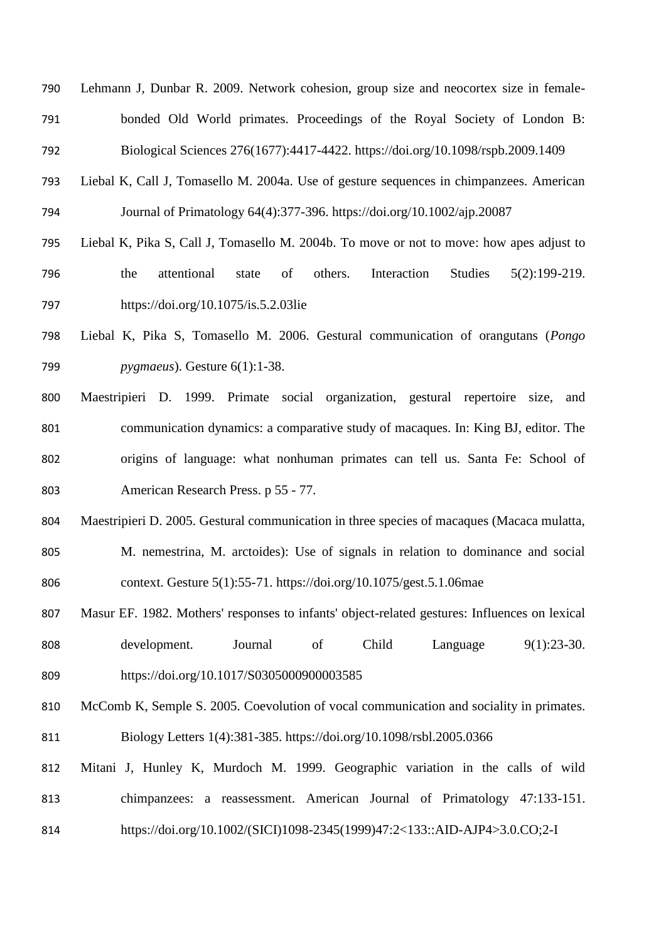- Lehmann J, Dunbar R. 2009. Network cohesion, group size and neocortex size in female- bonded Old World primates. Proceedings of the Royal Society of London B: Biological Sciences 276(1677):4417-4422. https://doi.org/10.1098/rspb.2009.1409
- Liebal K, Call J, Tomasello M. 2004a. Use of gesture sequences in chimpanzees. American Journal of Primatology 64(4):377-396. https://doi.org/10.1002/ajp.20087
- Liebal K, Pika S, Call J, Tomasello M. 2004b. To move or not to move: how apes adjust to the attentional state of others. Interaction Studies 5(2):199-219. https://doi.org/10.1075/is.5.2.03lie
- Liebal K, Pika S, Tomasello M. 2006. Gestural communication of orangutans (*Pongo pygmaeus*). Gesture 6(1):1-38.
- Maestripieri D. 1999. Primate social organization, gestural repertoire size, and communication dynamics: a comparative study of macaques. In: King BJ, editor. The origins of language: what nonhuman primates can tell us. Santa Fe: School of American Research Press. p 55 - 77.
- Maestripieri D. 2005. Gestural communication in three species of macaques (Macaca mulatta,
- M. nemestrina, M. arctoides): Use of signals in relation to dominance and social context. Gesture 5(1):55-71. https://doi.org/10.1075/gest.5.1.06mae
- Masur EF. 1982. Mothers' responses to infants' object-related gestures: Influences on lexical development. Journal of Child Language 9(1):23-30. https://doi.org/10.1017/S0305000900003585
- McComb K, Semple S. 2005. Coevolution of vocal communication and sociality in primates. Biology Letters 1(4):381-385. https://doi.org/10.1098/rsbl.2005.0366
- Mitani J, Hunley K, Murdoch M. 1999. Geographic variation in the calls of wild chimpanzees: a reassessment. American Journal of Primatology 47:133-151.
- https://doi.org/10.1002/(SICI)1098-2345(1999)47:2<133::AID-AJP4>3.0.CO;2-I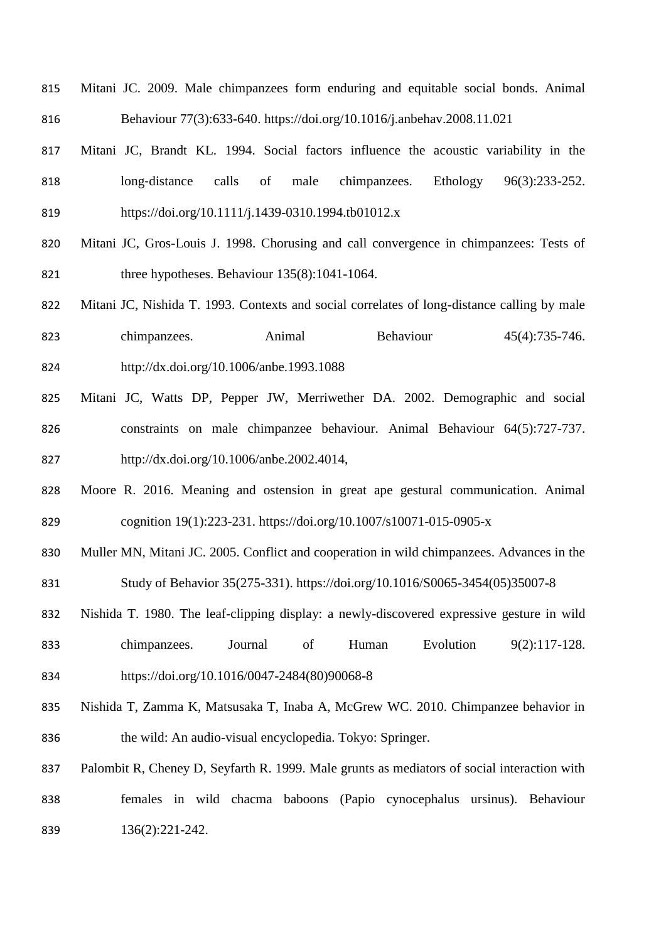- Mitani JC. 2009. Male chimpanzees form enduring and equitable social bonds. Animal Behaviour 77(3):633-640. https://doi.org/10.1016/j.anbehav.2008.11.021
- Mitani JC, Brandt KL. 1994. Social factors influence the acoustic variability in the long‐distance calls of male chimpanzees. Ethology 96(3):233-252. https://doi.org/10.1111/j.1439-0310.1994.tb01012.x
- Mitani JC, Gros-Louis J. 1998. Chorusing and call convergence in chimpanzees: Tests of three hypotheses. Behaviour 135(8):1041-1064.
- Mitani JC, Nishida T. 1993. Contexts and social correlates of long-distance calling by male 823 chimpanzees. Animal Behaviour 45(4):735-746. http://dx.doi.org/10.1006/anbe.1993.1088
- Mitani JC, Watts DP, Pepper JW, Merriwether DA. 2002. Demographic and social constraints on male chimpanzee behaviour. Animal Behaviour 64(5):727-737. http://dx.doi.org/10.1006/anbe.2002.4014,
- Moore R. 2016. Meaning and ostension in great ape gestural communication. Animal cognition 19(1):223-231. https://doi.org/10.1007/s10071-015-0905-x
- Muller MN, Mitani JC. 2005. Conflict and cooperation in wild chimpanzees. Advances in the Study of Behavior 35(275-331). https://doi.org/10.1016/S0065-3454(05)35007-8
- Nishida T. 1980. The leaf-clipping display: a newly-discovered expressive gesture in wild chimpanzees. Journal of Human Evolution 9(2):117-128. https://doi.org/10.1016/0047-2484(80)90068-8
- Nishida T, Zamma K, Matsusaka T, Inaba A, McGrew WC. 2010. Chimpanzee behavior in the wild: An audio-visual encyclopedia. Tokyo: Springer.
- 837 Palombit R, Cheney D, Seyfarth R. 1999. Male grunts as mediators of social interaction with females in wild chacma baboons (Papio cynocephalus ursinus). Behaviour 136(2):221-242.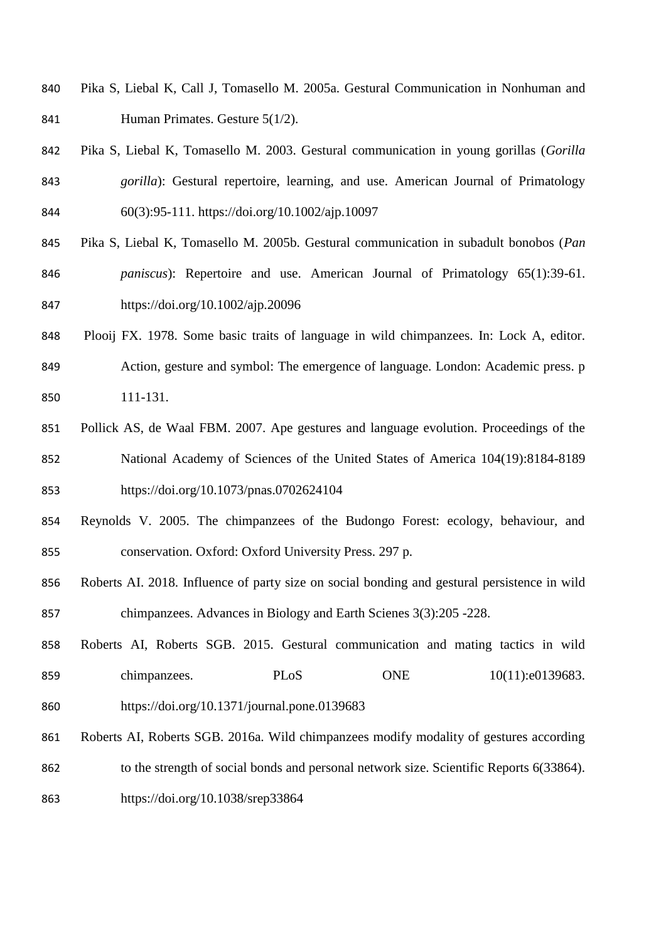- Pika S, Liebal K, Call J, Tomasello M. 2005a. Gestural Communication in Nonhuman and Human Primates. Gesture 5(1/2).
- Pika S, Liebal K, Tomasello M. 2003. Gestural communication in young gorillas (*Gorilla gorilla*): Gestural repertoire, learning, and use. American Journal of Primatology 60(3):95-111. https://doi.org/10.1002/ajp.10097
- Pika S, Liebal K, Tomasello M. 2005b. Gestural communication in subadult bonobos (*Pan paniscus*): Repertoire and use. American Journal of Primatology 65(1):39-61. https://doi.org/10.1002/ajp.20096
- Plooij FX. 1978. Some basic traits of language in wild chimpanzees. In: Lock A, editor. Action, gesture and symbol: The emergence of language. London: Academic press. p 111-131.
- Pollick AS, de Waal FBM. 2007. Ape gestures and language evolution. Proceedings of the National Academy of Sciences of the United States of America 104(19):8184-8189 https://doi.org/10.1073/pnas.0702624104
- Reynolds V. 2005. The chimpanzees of the Budongo Forest: ecology, behaviour, and conservation. Oxford: Oxford University Press. 297 p.
- Roberts AI. 2018. Influence of party size on social bonding and gestural persistence in wild chimpanzees. Advances in Biology and Earth Scienes 3(3):205 -228.
- Roberts AI, Roberts SGB. 2015. Gestural communication and mating tactics in wild 859 chimpanzees. PLoS ONE  $10(11):e0139683$ .
- https://doi.org/10.1371/journal.pone.0139683
- Roberts AI, Roberts SGB. 2016a. Wild chimpanzees modify modality of gestures according 862 to the strength of social bonds and personal network size. Scientific Reports 6(33864). https://doi.org/10.1038/srep33864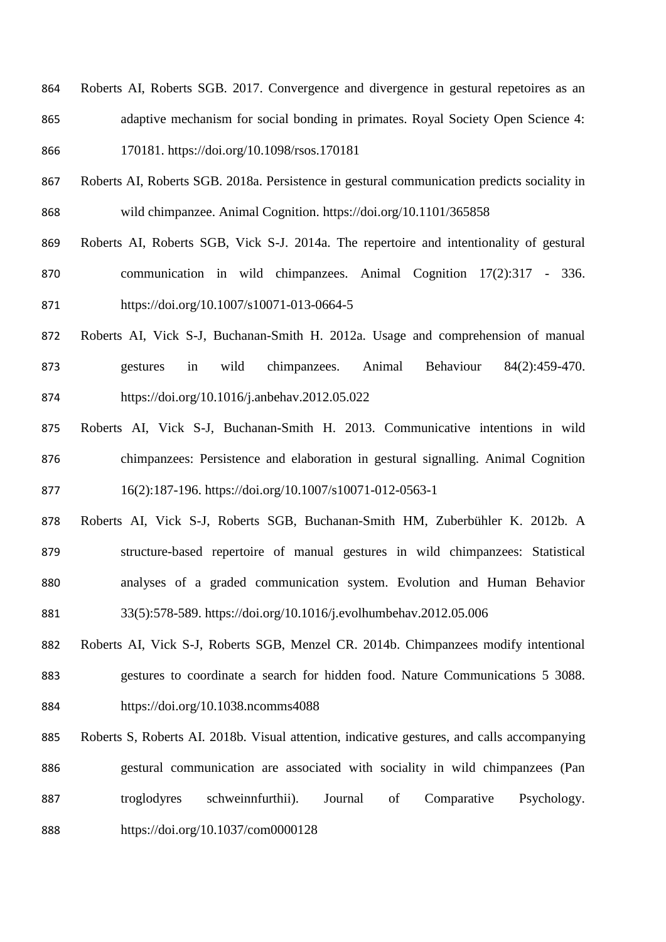- Roberts AI, Roberts SGB. 2017. Convergence and divergence in gestural repetoires as an adaptive mechanism for social bonding in primates. Royal Society Open Science 4: 170181. https://doi.org/10.1098/rsos.170181
- Roberts AI, Roberts SGB. 2018a. Persistence in gestural communication predicts sociality in wild chimpanzee. Animal Cognition. https://doi.org/10.1101/365858
- Roberts AI, Roberts SGB, Vick S-J. 2014a. The repertoire and intentionality of gestural communication in wild chimpanzees. Animal Cognition 17(2):317 - 336. https://doi.org/10.1007/s10071-013-0664-5
- Roberts AI, Vick S-J, Buchanan-Smith H. 2012a. Usage and comprehension of manual gestures in wild chimpanzees. Animal Behaviour 84(2):459-470. https://doi.org/10.1016/j.anbehav.2012.05.022
- Roberts AI, Vick S-J, Buchanan-Smith H. 2013. Communicative intentions in wild chimpanzees: Persistence and elaboration in gestural signalling. Animal Cognition 16(2):187-196. https://doi.org/10.1007/s10071-012-0563-1
- Roberts AI, Vick S-J, Roberts SGB, Buchanan-Smith HM, Zuberbühler K. 2012b. A structure-based repertoire of manual gestures in wild chimpanzees: Statistical analyses of a graded communication system. Evolution and Human Behavior 33(5):578-589. https://doi.org/10.1016/j.evolhumbehav.2012.05.006
- Roberts AI, Vick S-J, Roberts SGB, Menzel CR. 2014b. Chimpanzees modify intentional gestures to coordinate a search for hidden food. Nature Communications 5 3088. https://doi.org/10.1038.ncomms4088
- Roberts S, Roberts AI. 2018b. Visual attention, indicative gestures, and calls accompanying gestural communication are associated with sociality in wild chimpanzees (Pan troglodyres schweinnfurthii). Journal of Comparative Psychology. https://doi.org/10.1037/com0000128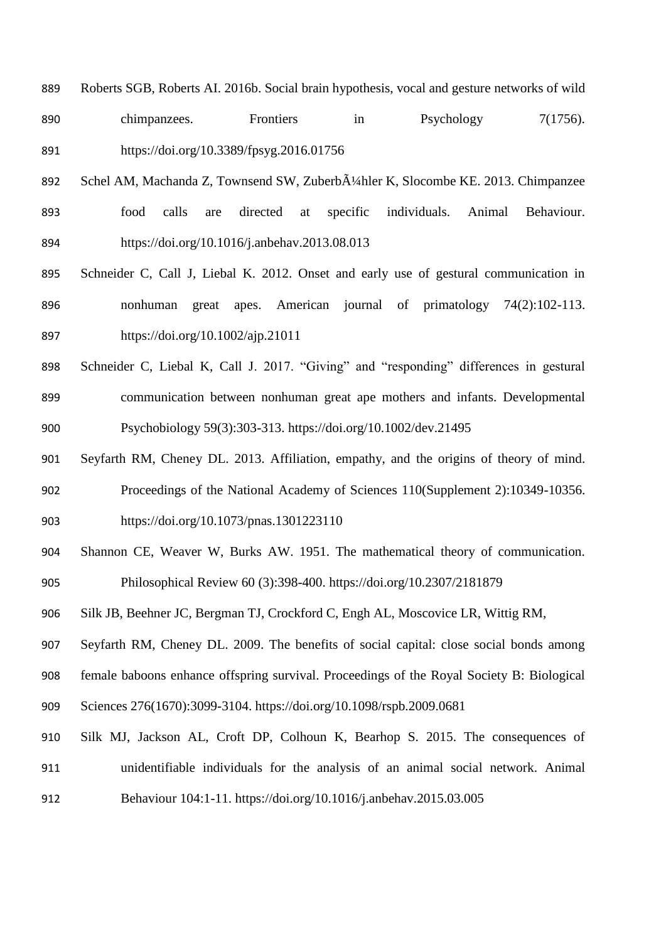- Roberts SGB, Roberts AI. 2016b. Social brain hypothesis, vocal and gesture networks of wild
- chimpanzees. Frontiers in Psychology 7(1756). https://doi.org/10.3389/fpsyg.2016.01756
- 892 Schel AM, Machanda Z, Townsend SW, Zuberb $\tilde{A}$ <sup>1</sup>/4hler K, Slocombe KE. 2013. Chimpanzee food calls are directed at specific individuals. Animal Behaviour. https://doi.org/10.1016/j.anbehav.2013.08.013
- Schneider C, Call J, Liebal K. 2012. Onset and early use of gestural communication in nonhuman great apes. American journal of primatology 74(2):102-113. https://doi.org/10.1002/ajp.21011
- Schneider C, Liebal K, Call J. 2017. "Giving" and "responding" differences in gestural communication between nonhuman great ape mothers and infants. Developmental Psychobiology 59(3):303-313. https://doi.org/10.1002/dev.21495
- Seyfarth RM, Cheney DL. 2013. Affiliation, empathy, and the origins of theory of mind. Proceedings of the National Academy of Sciences 110(Supplement 2):10349-10356. https://doi.org/10.1073/pnas.1301223110
- Shannon CE, Weaver W, Burks AW. 1951. The mathematical theory of communication. Philosophical Review 60 (3):398-400. https://doi.org/10.2307/2181879
- Silk JB, Beehner JC, Bergman TJ, Crockford C, Engh AL, Moscovice LR, Wittig RM,

Seyfarth RM, Cheney DL. 2009. The benefits of social capital: close social bonds among

female baboons enhance offspring survival. Proceedings of the Royal Society B: Biological

- Sciences 276(1670):3099-3104. https://doi.org/10.1098/rspb.2009.0681
- Silk MJ, Jackson AL, Croft DP, Colhoun K, Bearhop S. 2015. The consequences of unidentifiable individuals for the analysis of an animal social network. Animal Behaviour 104:1-11. https://doi.org/10.1016/j.anbehav.2015.03.005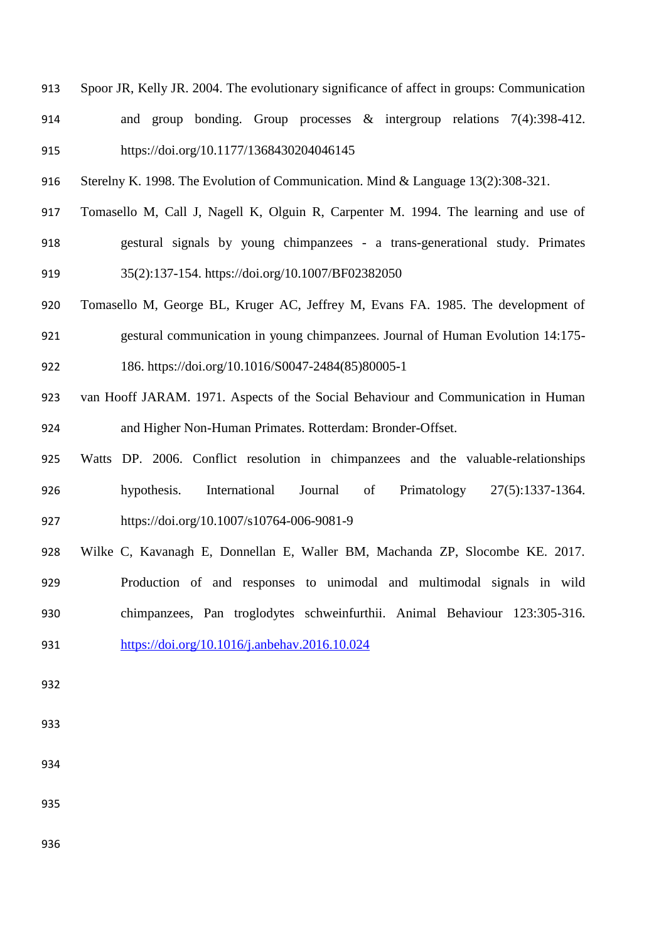- Spoor JR, Kelly JR. 2004. The evolutionary significance of affect in groups: Communication and group bonding. Group processes & intergroup relations 7(4):398-412. https://doi.org/10.1177/1368430204046145
- Sterelny K. 1998. The Evolution of Communication. Mind & Language 13(2):308-321.
- Tomasello M, Call J, Nagell K, Olguin R, Carpenter M. 1994. The learning and use of gestural signals by young chimpanzees - a trans-generational study. Primates 35(2):137-154. https://doi.org/10.1007/BF02382050
- Tomasello M, George BL, Kruger AC, Jeffrey M, Evans FA. 1985. The development of gestural communication in young chimpanzees. Journal of Human Evolution 14:175- 186. https://doi.org/10.1016/S0047-2484(85)80005-1
- van Hooff JARAM. 1971. Aspects of the Social Behaviour and Communication in Human and Higher Non-Human Primates. Rotterdam: Bronder-Offset.
- Watts DP. 2006. Conflict resolution in chimpanzees and the valuable-relationships hypothesis. International Journal of Primatology 27(5):1337-1364. https://doi.org/10.1007/s10764-006-9081-9
- Wilke C, Kavanagh E, Donnellan E, Waller BM, Machanda ZP, Slocombe KE. 2017. Production of and responses to unimodal and multimodal signals in wild chimpanzees, Pan troglodytes schweinfurthii. Animal Behaviour 123:305-316.
- <https://doi.org/10.1016/j.anbehav.2016.10.024>
- 
- 
- 
-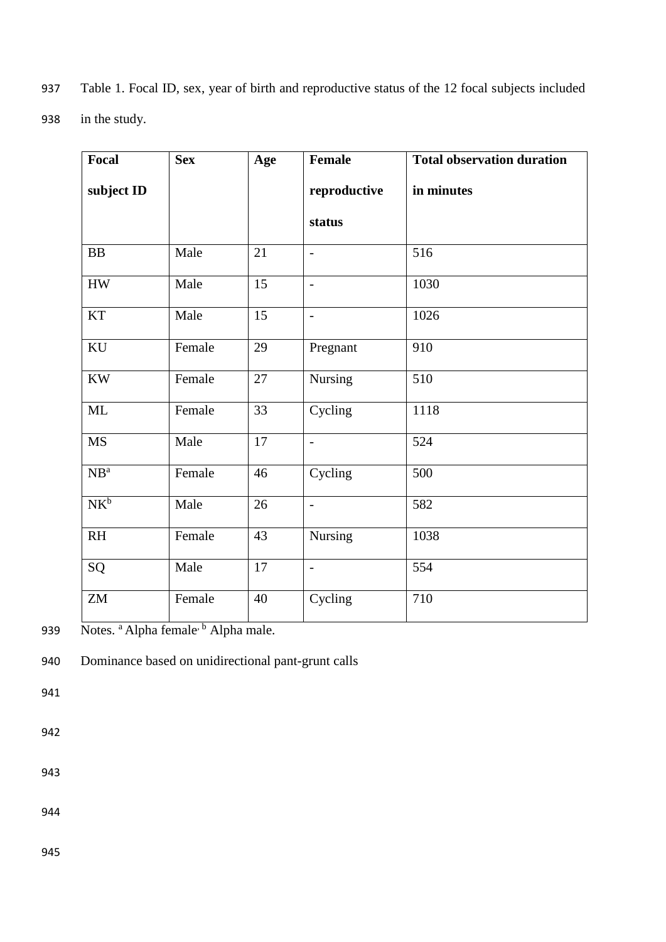| 937 Table 1. Focal ID, sex, year of birth and reproductive status of the 12 focal subjects included |  |
|-----------------------------------------------------------------------------------------------------|--|
|-----------------------------------------------------------------------------------------------------|--|

938 in the study.

| Focal                  | <b>Sex</b> | Age             | Female                   | <b>Total observation duration</b> |
|------------------------|------------|-----------------|--------------------------|-----------------------------------|
| subject ID             |            |                 | reproductive             | in minutes                        |
|                        |            |                 | status                   |                                   |
| <b>BB</b>              | Male       | 21              | $\blacksquare$           | 516                               |
| ${\rm HW}$             | Male       | 15              | $\equiv$                 | 1030                              |
| <b>KT</b>              | Male       | 15              | $\overline{\phantom{a}}$ | 1026                              |
| $\rm KU$               | Female     | 29              | Pregnant                 | 910                               |
| $\mathbf{K}\mathbf{W}$ | Female     | 27              | <b>Nursing</b>           | 510                               |
| ML                     | Female     | $\overline{33}$ | Cycling                  | 1118                              |
| <b>MS</b>              | Male       | 17              | $\overline{\phantom{a}}$ | 524                               |
| NB <sup>a</sup>        | Female     | 46              | Cycling                  | 500                               |
| $NK^b$                 | Male       | 26              | $\sim$                   | 582                               |
| RH                     | Female     | 43              | Nursing                  | 1038                              |
| SQ                     | Male       | 17              | $\blacksquare$           | 554                               |
| ${\rm ZM}$             | Female     | 40              | Cycling                  | 710                               |

939 Notes. <sup>a</sup> Alpha female<sup>, b</sup> Alpha male.

940 Dominance based on unidirectional pant-grunt calls

941

942

943

944

945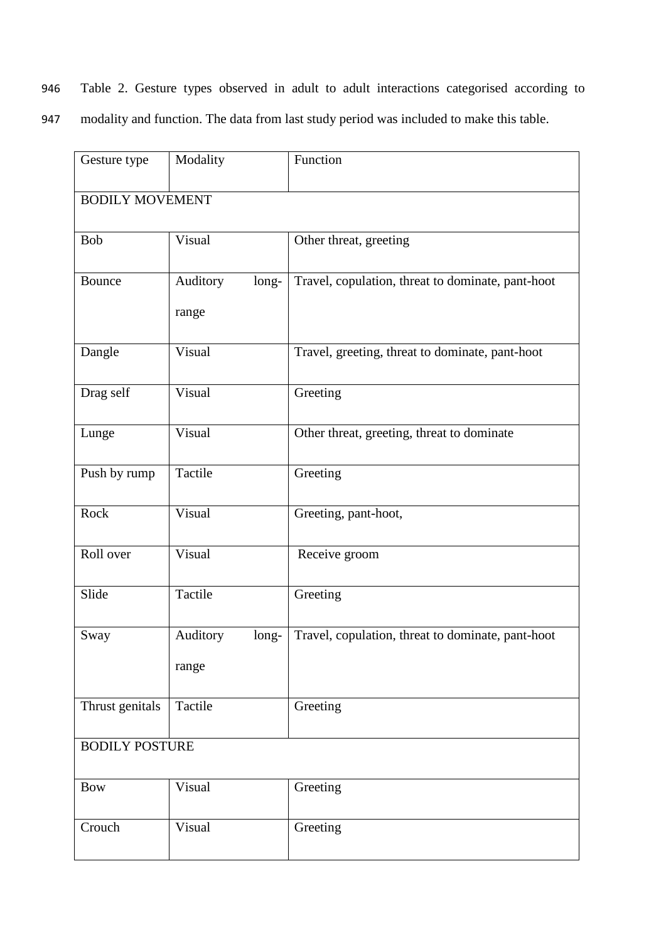946 Table 2. Gesture types observed in adult to adult interactions categorised according to

947 modality and function. The data from last study period was included to make this table.

| Gesture type          | Modality               | Function                                          |  |  |  |
|-----------------------|------------------------|---------------------------------------------------|--|--|--|
|                       | <b>BODILY MOVEMENT</b> |                                                   |  |  |  |
| <b>Bob</b>            | Visual                 | Other threat, greeting                            |  |  |  |
| Bounce                | Auditory<br>long-      | Travel, copulation, threat to dominate, pant-hoot |  |  |  |
|                       | range                  |                                                   |  |  |  |
| Dangle                | Visual                 | Travel, greeting, threat to dominate, pant-hoot   |  |  |  |
| Drag self             | Visual                 | Greeting                                          |  |  |  |
| Lunge                 | Visual                 | Other threat, greeting, threat to dominate        |  |  |  |
| Push by rump          | Tactile                | Greeting                                          |  |  |  |
| Rock                  | Visual                 | Greeting, pant-hoot,                              |  |  |  |
| Roll over             | Visual                 | Receive groom                                     |  |  |  |
| Slide                 | Tactile                | Greeting                                          |  |  |  |
| Sway                  | Auditory<br>long-      | Travel, copulation, threat to dominate, pant-hoot |  |  |  |
|                       | range                  |                                                   |  |  |  |
| Thrust genitals       | Tactile                | Greeting                                          |  |  |  |
| <b>BODILY POSTURE</b> |                        |                                                   |  |  |  |
| <b>Bow</b>            | Visual                 | Greeting                                          |  |  |  |
| Crouch                | Visual                 | Greeting                                          |  |  |  |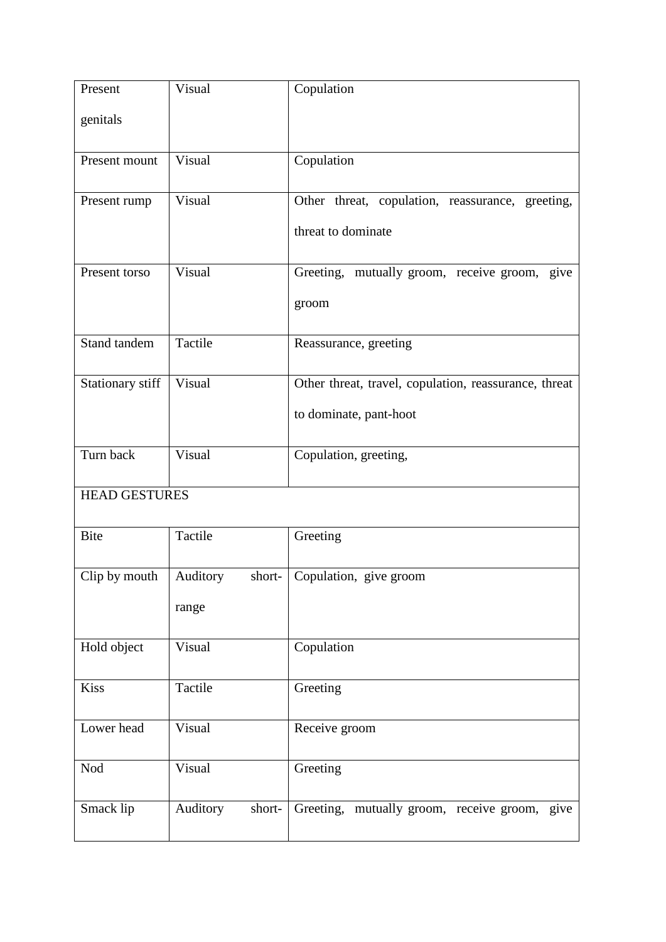| Present              | Visual             | Copulation                                            |
|----------------------|--------------------|-------------------------------------------------------|
| genitals             |                    |                                                       |
| Present mount        | Visual             | Copulation                                            |
| Present rump         | Visual             | Other threat, copulation, reassurance, greeting,      |
|                      |                    | threat to dominate                                    |
| Present torso        | Visual             | Greeting, mutually groom, receive groom, give         |
|                      |                    | groom                                                 |
| Stand tandem         | Tactile            | Reassurance, greeting                                 |
| Stationary stiff     | Visual             | Other threat, travel, copulation, reassurance, threat |
|                      |                    | to dominate, pant-hoot                                |
| Turn back            | Visual             | Copulation, greeting,                                 |
| <b>HEAD GESTURES</b> |                    |                                                       |
| <b>Bite</b>          | Tactile            | Greeting                                              |
| Clip by mouth        | Auditory<br>short- | Copulation, give groom                                |
|                      | range              |                                                       |
| Hold object          | Visual             | Copulation                                            |
| Kiss                 | Tactile            | Greeting                                              |
| Lower head           | Visual             | Receive groom                                         |
| Nod                  | Visual             | Greeting                                              |
| Smack lip            | Auditory<br>short- | Greeting, mutually groom, receive groom, give         |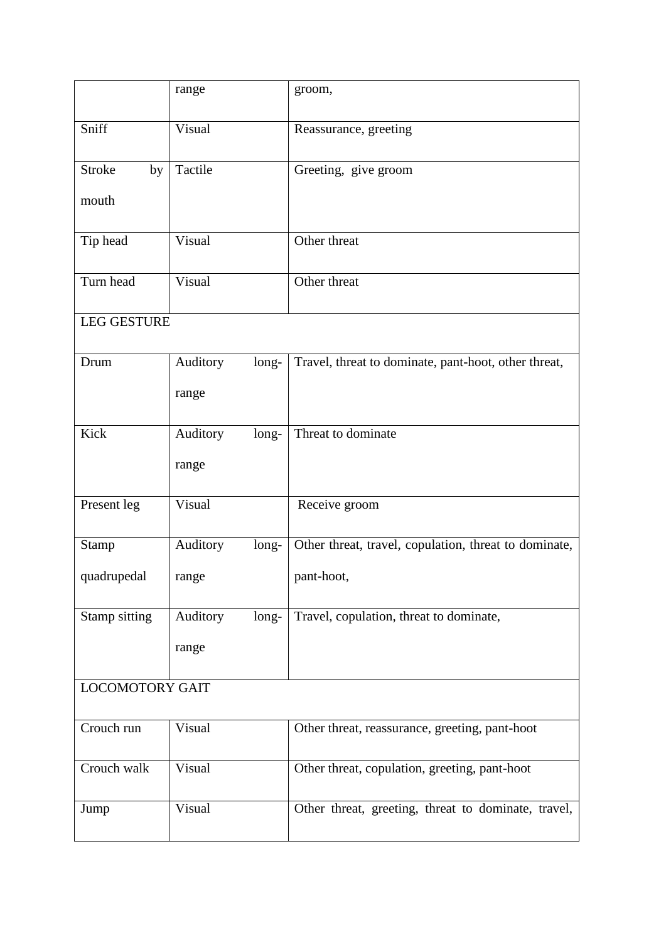|                        | range             | groom,                                                |  |
|------------------------|-------------------|-------------------------------------------------------|--|
| Sniff                  | Visual            | Reassurance, greeting                                 |  |
| <b>Stroke</b><br>by    | Tactile           | Greeting, give groom                                  |  |
| mouth                  |                   |                                                       |  |
| Tip head               | Visual            | Other threat                                          |  |
| Turn head              | Visual            | Other threat                                          |  |
| <b>LEG GESTURE</b>     |                   |                                                       |  |
| Drum                   | Auditory<br>long- | Travel, threat to dominate, pant-hoot, other threat,  |  |
|                        | range             |                                                       |  |
| Kick                   | Auditory<br>long- | Threat to dominate                                    |  |
|                        | range             |                                                       |  |
| Present leg            | Visual            | Receive groom                                         |  |
| <b>Stamp</b>           | Auditory<br>long- | Other threat, travel, copulation, threat to dominate, |  |
| quadrupedal            | range             | pant-hoot,                                            |  |
| Stamp sitting          | Auditory<br>long- | Travel, copulation, threat to dominate,               |  |
|                        | range             |                                                       |  |
| <b>LOCOMOTORY GAIT</b> |                   |                                                       |  |
| Crouch run             | Visual            | Other threat, reassurance, greeting, pant-hoot        |  |
| Crouch walk            | Visual            | Other threat, copulation, greeting, pant-hoot         |  |
| Jump                   | Visual            | Other threat, greeting, threat to dominate, travel,   |  |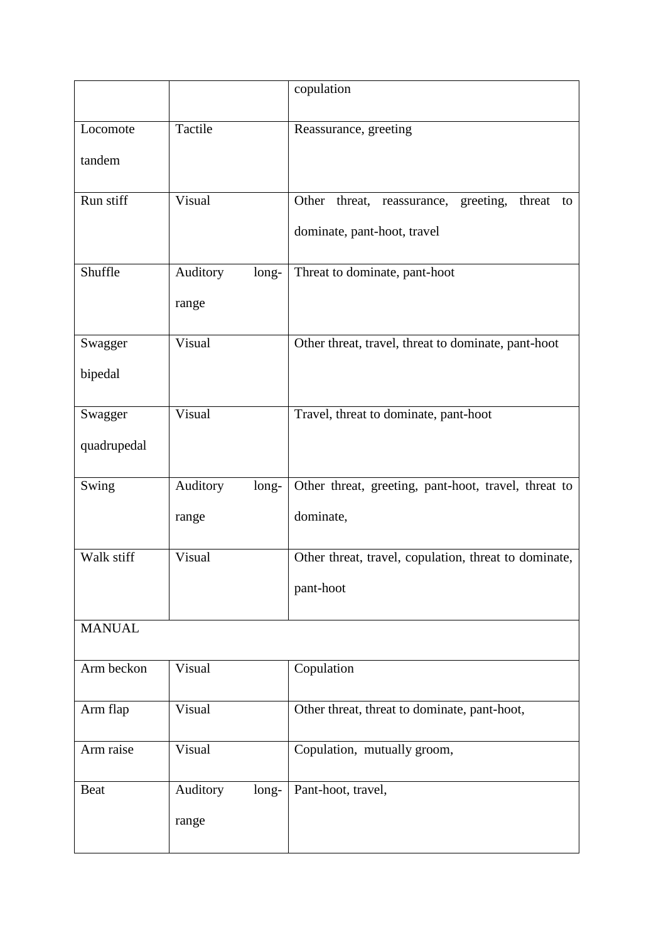|               |                   | copulation                                              |
|---------------|-------------------|---------------------------------------------------------|
| Locomote      | Tactile           | Reassurance, greeting                                   |
| tandem        |                   |                                                         |
| Run stiff     | Visual            | Other<br>threat, reassurance, greeting,<br>threat<br>to |
|               |                   | dominate, pant-hoot, travel                             |
| Shuffle       | Auditory<br>long- | Threat to dominate, pant-hoot                           |
|               | range             |                                                         |
| Swagger       | Visual            | Other threat, travel, threat to dominate, pant-hoot     |
| bipedal       |                   |                                                         |
| Swagger       | Visual            | Travel, threat to dominate, pant-hoot                   |
| quadrupedal   |                   |                                                         |
| Swing         | Auditory<br>long- | Other threat, greeting, pant-hoot, travel, threat to    |
|               | range             | dominate,                                               |
| Walk stiff    | Visual            | Other threat, travel, copulation, threat to dominate,   |
|               |                   | pant-hoot                                               |
| <b>MANUAL</b> |                   |                                                         |
| Arm beckon    | Visual            | Copulation                                              |
| Arm flap      | Visual            | Other threat, threat to dominate, pant-hoot,            |
| Arm raise     | Visual            | Copulation, mutually groom,                             |
| <b>Beat</b>   | Auditory<br>long- | Pant-hoot, travel,                                      |
|               | range             |                                                         |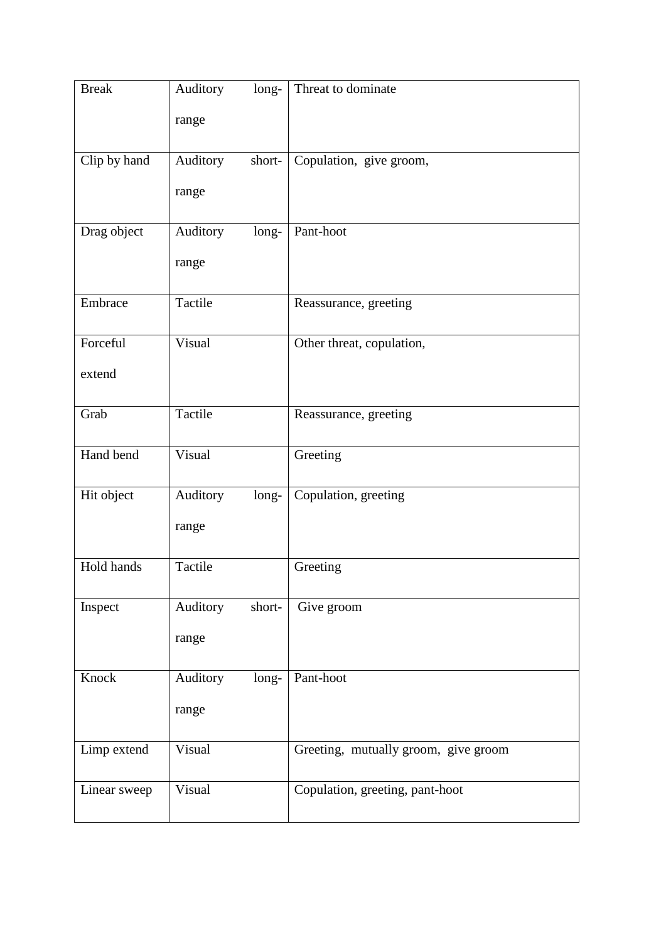| <b>Break</b> | Auditory<br>long-  | Threat to dominate                   |
|--------------|--------------------|--------------------------------------|
|              | range              |                                      |
| Clip by hand | Auditory<br>short- | Copulation, give groom,              |
|              | range              |                                      |
| Drag object  | Auditory<br>long-  | Pant-hoot                            |
|              | range              |                                      |
| Embrace      | Tactile            | Reassurance, greeting                |
| Forceful     | Visual             | Other threat, copulation,            |
| extend       |                    |                                      |
| Grab         | Tactile            | Reassurance, greeting                |
| Hand bend    | Visual             | Greeting                             |
| Hit object   | Auditory<br>long-  | Copulation, greeting                 |
|              | range              |                                      |
| Hold hands   | Tactile            | Greeting                             |
| Inspect      | Auditory<br>short- | Give groom                           |
|              | range              |                                      |
| Knock        | Auditory<br>long-  | Pant-hoot                            |
|              | range              |                                      |
| Limp extend  | Visual             | Greeting, mutually groom, give groom |
| Linear sweep | Visual             | Copulation, greeting, pant-hoot      |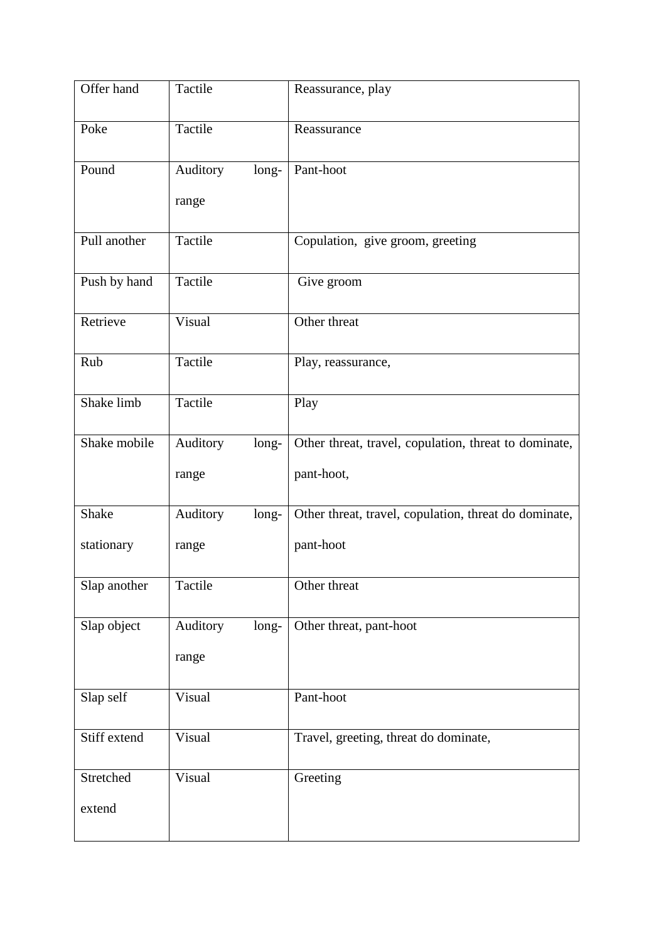| Offer hand   | Tactile           | Reassurance, play                                     |
|--------------|-------------------|-------------------------------------------------------|
| Poke         | Tactile           | Reassurance                                           |
| Pound        | Auditory<br>long- | Pant-hoot                                             |
|              | range             |                                                       |
| Pull another | Tactile           | Copulation, give groom, greeting                      |
| Push by hand | Tactile           | Give groom                                            |
| Retrieve     | Visual            | Other threat                                          |
| Rub          | Tactile           | Play, reassurance,                                    |
| Shake limb   | Tactile           | Play                                                  |
| Shake mobile | Auditory<br>long- | Other threat, travel, copulation, threat to dominate, |
|              | range             | pant-hoot,                                            |
| Shake        | Auditory<br>long- | Other threat, travel, copulation, threat do dominate, |
| stationary   | range             | pant-hoot                                             |
| Slap another | Tactile           | Other threat                                          |
| Slap object  | Auditory<br>long- | Other threat, pant-hoot                               |
|              | range             |                                                       |
| Slap self    | Visual            | Pant-hoot                                             |
| Stiff extend | Visual            | Travel, greeting, threat do dominate,                 |
| Stretched    | Visual            | Greeting                                              |
| extend       |                   |                                                       |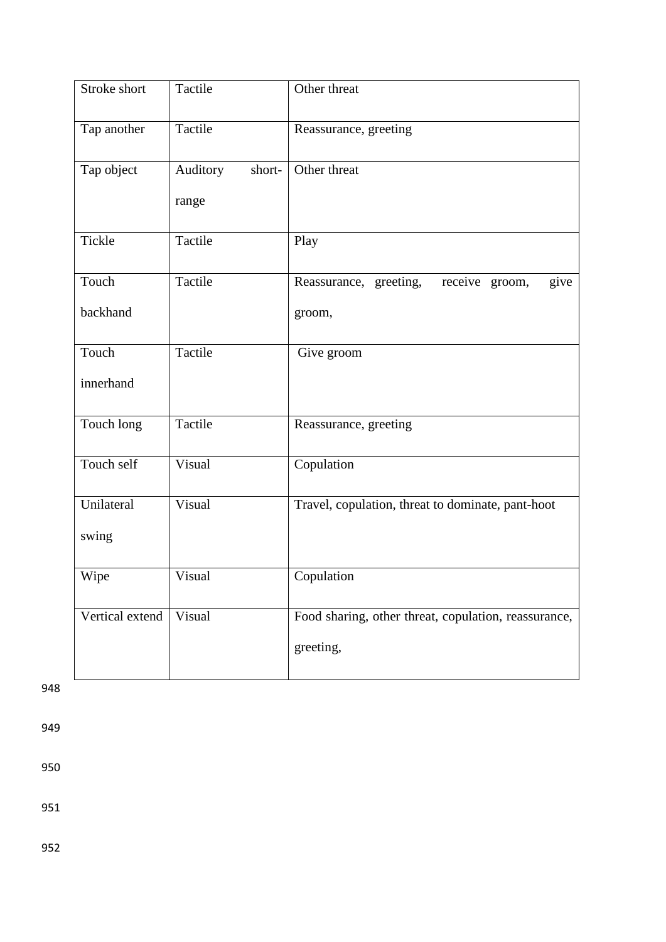| Stroke short    | Tactile                     | Other threat                                         |
|-----------------|-----------------------------|------------------------------------------------------|
| Tap another     | Tactile                     | Reassurance, greeting                                |
| Tap object      | Auditory<br>short-<br>range | Other threat                                         |
| Tickle          | Tactile                     | Play                                                 |
| Touch           | Tactile                     | Reassurance, greeting,<br>receive groom,<br>give     |
| backhand        |                             | groom,                                               |
| Touch           | Tactile                     | Give groom                                           |
| innerhand       |                             |                                                      |
| Touch long      | Tactile                     | Reassurance, greeting                                |
| Touch self      | Visual                      | Copulation                                           |
| Unilateral      | Visual                      | Travel, copulation, threat to dominate, pant-hoot    |
| swing           |                             |                                                      |
| Wipe            | Visual                      | Copulation                                           |
| Vertical extend | Visual                      | Food sharing, other threat, copulation, reassurance, |
|                 |                             | greeting,                                            |

948

949

950

951

952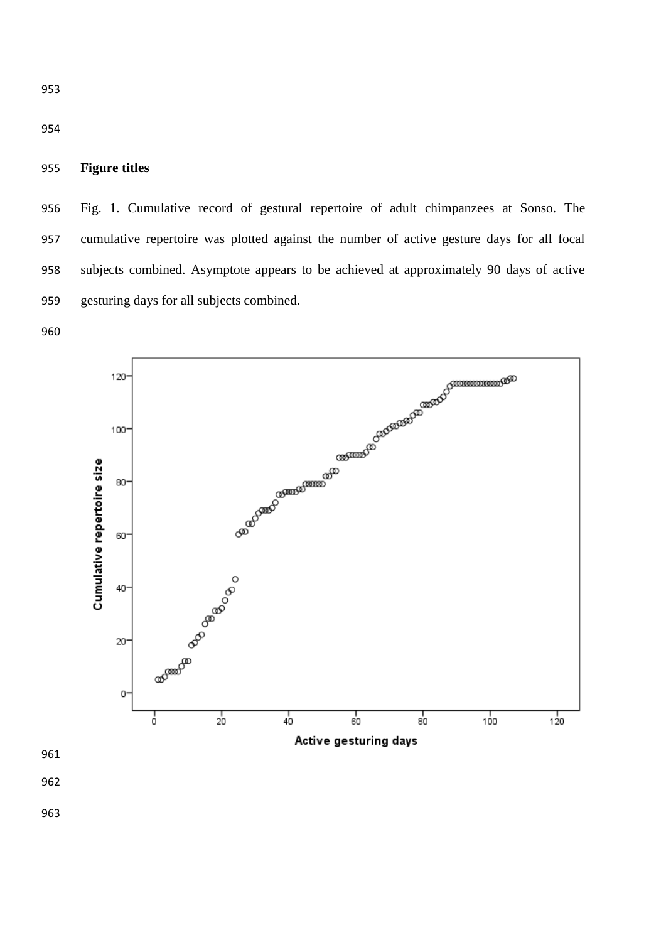## **Figure titles**

 Fig. 1. Cumulative record of gestural repertoire of adult chimpanzees at Sonso. The cumulative repertoire was plotted against the number of active gesture days for all focal subjects combined. Asymptote appears to be achieved at approximately 90 days of active gesturing days for all subjects combined.